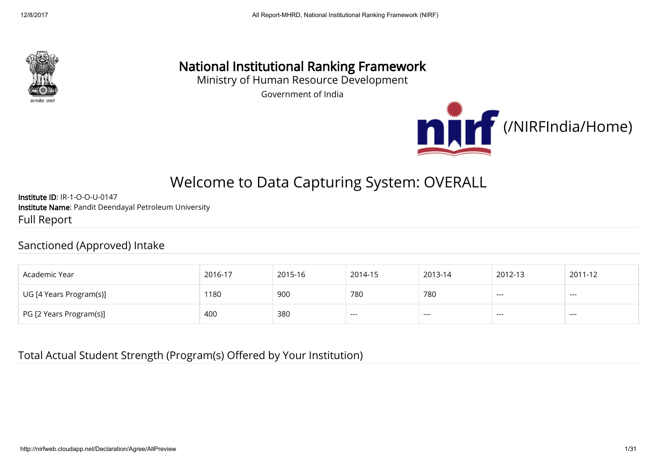

## National Institutional Ranking Framework

Ministry of Human Resource Development

Government of India



# Welcome to Data Capturing System: OVERALL

Institute ID: IR-1-O-O-U-0147 Institute Name: Pandit Deendayal Petroleum University Full Report

#### Sanctioned (Approved) Intake

| Academic Year           | 2016-17 | 2015-16 | 2014-15 | 2013-14 | 2012-13              | 2011-12  |
|-------------------------|---------|---------|---------|---------|----------------------|----------|
| UG [4 Years Program(s)] | 1180    | 900     | 780     | 780     | $\sim$ $\sim$ $\sim$ | $\cdots$ |
| PG [2 Years Program(s)] | 400     | 380     | ---     |         | ---                  |          |

#### Total Actual Student Strength (Program(s) Offered by Your Institution)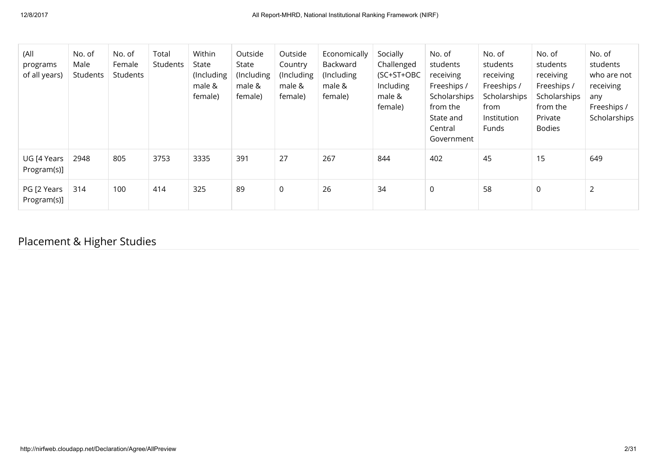| (All<br>programs<br>of all years) | No. of<br>Male<br>Students | No. of<br>Female<br>Students | Total<br>Students | Within<br>State<br>(Including<br>male &<br>female) | Outside<br>State<br>(Including<br>male &<br>female) | Outside<br>Country<br>(Including<br>male &<br>female) | Economically<br>Backward<br>(Including<br>male &<br>female) | Socially<br>Challenged<br>(SC+ST+OBC<br>Including<br>male &<br>female) | No. of<br>students<br>receiving<br>Freeships /<br>Scholarships<br>from the<br>State and<br>Central<br>Government | No. of<br>students<br>receiving<br>Freeships /<br>Scholarships<br>from<br>Institution<br>Funds | No. of<br>students<br>receiving<br>Freeships /<br>Scholarships<br>from the<br>Private<br><b>Bodies</b> | No. of<br>students<br>who are not<br>receiving<br>any<br>Freeships /<br>Scholarships |
|-----------------------------------|----------------------------|------------------------------|-------------------|----------------------------------------------------|-----------------------------------------------------|-------------------------------------------------------|-------------------------------------------------------------|------------------------------------------------------------------------|------------------------------------------------------------------------------------------------------------------|------------------------------------------------------------------------------------------------|--------------------------------------------------------------------------------------------------------|--------------------------------------------------------------------------------------|
| UG [4 Years<br>Program(s)]        | 2948                       | 805                          | 3753              | 3335                                               | 391                                                 | 27                                                    | 267                                                         | 844                                                                    | 402                                                                                                              | 45                                                                                             | 15                                                                                                     | 649                                                                                  |
| PG [2 Years<br>Program(s)]        | 314                        | 100                          | 414               | 325                                                | 89                                                  | $\mathsf 0$                                           | 26                                                          | 34                                                                     | $\mathbf 0$                                                                                                      | 58                                                                                             | 0                                                                                                      | $\overline{2}$                                                                       |

## Placement & Higher Studies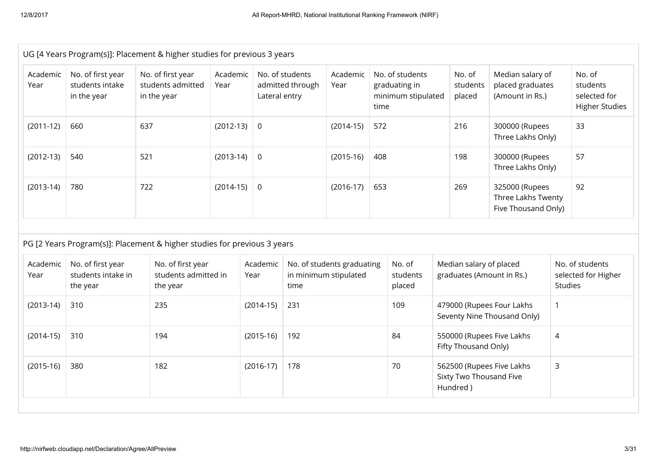|                  | UG [4 Years Program(s)]: Placement & higher studies for previous 3 years |                                                                          |                  |                  |                                     |                                                     |      |                                                        |                                     |                                                             |                |                                                             |
|------------------|--------------------------------------------------------------------------|--------------------------------------------------------------------------|------------------|------------------|-------------------------------------|-----------------------------------------------------|------|--------------------------------------------------------|-------------------------------------|-------------------------------------------------------------|----------------|-------------------------------------------------------------|
| Academic<br>Year | No. of first year<br>students intake<br>in the year                      | No. of first year<br>students admitted<br>in the year                    | Academic<br>Year | Lateral entry    | No. of students<br>admitted through | Academic<br>Year                                    | time | No. of students<br>graduating in<br>minimum stipulated | No. of<br>students<br>placed        | Median salary of<br>placed graduates<br>(Amount in Rs.)     |                | No. of<br>students<br>selected for<br><b>Higher Studies</b> |
| $(2011-12)$      | 660                                                                      | 637                                                                      | $(2012-13)$      | $\overline{0}$   |                                     | $(2014-15)$                                         | 572  |                                                        | 216                                 | 300000 (Rupees<br>Three Lakhs Only)                         |                | 33                                                          |
| $(2012-13)$      | 540                                                                      | 521                                                                      | $(2013-14)$      | $\mathbf 0$      |                                     | $(2015-16)$                                         | 408  |                                                        | 198                                 | 300000 (Rupees<br>Three Lakhs Only)                         |                | 57                                                          |
| $(2013-14)$      | 780                                                                      | 722                                                                      | $(2014-15)$      | $\mathbf 0$      |                                     | $(2016-17)$                                         | 653  |                                                        | 269                                 | 325000 (Rupees<br>Three Lakhs Twenty<br>Five Thousand Only) |                | 92                                                          |
|                  |                                                                          | PG [2 Years Program(s)]: Placement & higher studies for previous 3 years |                  |                  |                                     |                                                     |      |                                                        |                                     |                                                             |                |                                                             |
| Academic<br>Year | No. of first year<br>students intake in<br>the year                      | No. of first year<br>students admitted in<br>the year                    |                  | Academic<br>Year | time                                | No. of students graduating<br>in minimum stipulated |      | No. of<br>students<br>placed                           | Median salary of placed             | graduates (Amount in Rs.)                                   | <b>Studies</b> | No. of students<br>selected for Higher                      |
| $(2013-14)$      | 310                                                                      | 235                                                                      |                  | $(2014-15)$      | 231                                 |                                                     |      | 109                                                    |                                     | 479000 (Rupees Four Lakhs<br>Seventy Nine Thousand Only)    | 1              |                                                             |
| $(2014-15)$      | 310                                                                      | 194                                                                      |                  | $(2015-16)$      | 192                                 |                                                     |      | 84                                                     | Fifty Thousand Only)                | 550000 (Rupees Five Lakhs                                   | $\overline{4}$ |                                                             |
| $(2015-16)$      | 380                                                                      | 182                                                                      |                  | $(2016-17)$      | 178                                 |                                                     |      | 70                                                     | Sixty Two Thousand Five<br>Hundred) | 562500 (Rupees Five Lakhs                                   | $\mathsf{3}$   |                                                             |
|                  |                                                                          |                                                                          |                  |                  |                                     |                                                     |      |                                                        |                                     |                                                             |                |                                                             |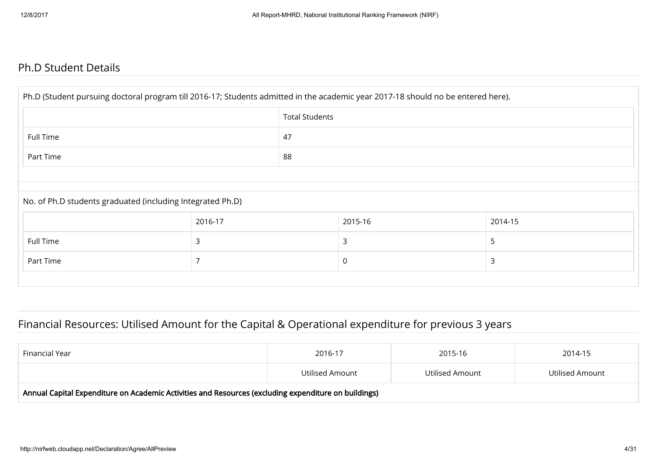#### Ph.D Student Details

| Ph.D (Student pursuing doctoral program till 2016-17; Students admitted in the academic year 2017-18 should no be entered here). |         |                       |         |         |  |  |  |
|----------------------------------------------------------------------------------------------------------------------------------|---------|-----------------------|---------|---------|--|--|--|
|                                                                                                                                  |         | <b>Total Students</b> |         |         |  |  |  |
| Full Time                                                                                                                        | 47      |                       |         |         |  |  |  |
| Part Time                                                                                                                        |         | 88                    |         |         |  |  |  |
|                                                                                                                                  |         |                       |         |         |  |  |  |
| No. of Ph.D students graduated (including Integrated Ph.D)                                                                       |         |                       |         |         |  |  |  |
|                                                                                                                                  | 2016-17 |                       | 2015-16 | 2014-15 |  |  |  |
| Full Time                                                                                                                        | 3       |                       | 3       | 5       |  |  |  |
| Part Time                                                                                                                        | 3<br>0  |                       |         |         |  |  |  |
|                                                                                                                                  |         |                       |         |         |  |  |  |

#### Financial Resources: Utilised Amount for the Capital & Operational expenditure for previous 3 years

| Financial Year                                                                                       | 2016-17         | 2015-16         | 2014-15         |  |  |  |
|------------------------------------------------------------------------------------------------------|-----------------|-----------------|-----------------|--|--|--|
|                                                                                                      | Utilised Amount | Utilised Amount | Utilised Amount |  |  |  |
| Annual Capital Expenditure on Academic Activities and Resources (excluding expenditure on buildings) |                 |                 |                 |  |  |  |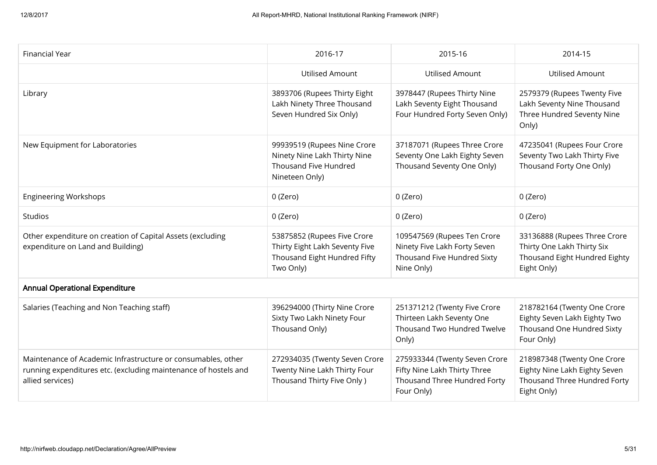| Financial Year                                                                                                                                      | 2016-17                                                                                                    | 2015-16                                                                                                     | 2014-15                                                                                                     |
|-----------------------------------------------------------------------------------------------------------------------------------------------------|------------------------------------------------------------------------------------------------------------|-------------------------------------------------------------------------------------------------------------|-------------------------------------------------------------------------------------------------------------|
|                                                                                                                                                     | <b>Utilised Amount</b>                                                                                     | <b>Utilised Amount</b>                                                                                      | <b>Utilised Amount</b>                                                                                      |
| Library                                                                                                                                             | 3893706 (Rupees Thirty Eight<br>Lakh Ninety Three Thousand<br>Seven Hundred Six Only)                      | 3978447 (Rupees Thirty Nine<br>Lakh Seventy Eight Thousand<br>Four Hundred Forty Seven Only)                | 2579379 (Rupees Twenty Five<br>Lakh Seventy Nine Thousand<br>Three Hundred Seventy Nine<br>Only)            |
| New Equipment for Laboratories                                                                                                                      | 99939519 (Rupees Nine Crore<br>Ninety Nine Lakh Thirty Nine<br>Thousand Five Hundred<br>Nineteen Only)     | 37187071 (Rupees Three Crore<br>Seventy One Lakh Eighty Seven<br>Thousand Seventy One Only)                 | 47235041 (Rupees Four Crore<br>Seventy Two Lakh Thirty Five<br>Thousand Forty One Only)                     |
| <b>Engineering Workshops</b>                                                                                                                        | 0 (Zero)                                                                                                   | 0 (Zero)                                                                                                    | 0 (Zero)                                                                                                    |
| Studios                                                                                                                                             | 0 (Zero)                                                                                                   | 0 (Zero)                                                                                                    | 0 (Zero)                                                                                                    |
| Other expenditure on creation of Capital Assets (excluding<br>expenditure on Land and Building)                                                     | 53875852 (Rupees Five Crore<br>Thirty Eight Lakh Seventy Five<br>Thousand Eight Hundred Fifty<br>Two Only) | 109547569 (Rupees Ten Crore<br>Ninety Five Lakh Forty Seven<br>Thousand Five Hundred Sixty<br>Nine Only)    | 33136888 (Rupees Three Crore<br>Thirty One Lakh Thirty Six<br>Thousand Eight Hundred Eighty<br>Eight Only)  |
| <b>Annual Operational Expenditure</b>                                                                                                               |                                                                                                            |                                                                                                             |                                                                                                             |
| Salaries (Teaching and Non Teaching staff)                                                                                                          | 396294000 (Thirty Nine Crore<br>Sixty Two Lakh Ninety Four<br>Thousand Only)                               | 251371212 (Twenty Five Crore<br>Thirteen Lakh Seventy One<br>Thousand Two Hundred Twelve<br>Only)           | 218782164 (Twenty One Crore<br>Eighty Seven Lakh Eighty Two<br>Thousand One Hundred Sixty<br>Four Only)     |
| Maintenance of Academic Infrastructure or consumables, other<br>running expenditures etc. (excluding maintenance of hostels and<br>allied services) | 272934035 (Twenty Seven Crore<br>Twenty Nine Lakh Thirty Four<br>Thousand Thirty Five Only )               | 275933344 (Twenty Seven Crore<br>Fifty Nine Lakh Thirty Three<br>Thousand Three Hundred Forty<br>Four Only) | 218987348 (Twenty One Crore<br>Eighty Nine Lakh Eighty Seven<br>Thousand Three Hundred Forty<br>Eight Only) |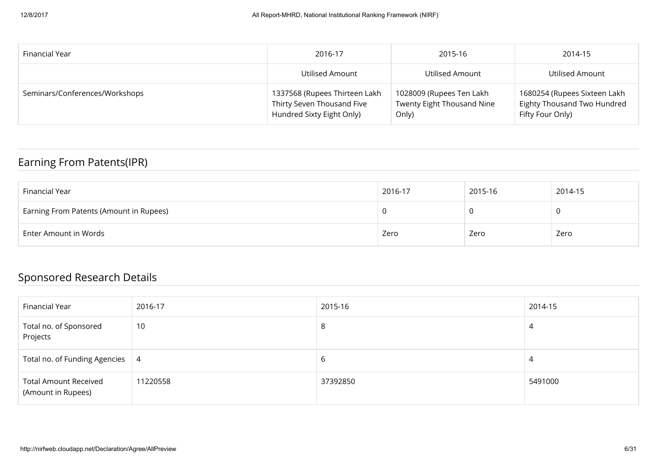| Financial Year                 | 2016-17                                                                                  | 2015-16                                                         | 2014-15                                                                         |
|--------------------------------|------------------------------------------------------------------------------------------|-----------------------------------------------------------------|---------------------------------------------------------------------------------|
|                                | Utilised Amount                                                                          | Utilised Amount                                                 | Utilised Amount                                                                 |
| Seminars/Conferences/Workshops | 1337568 (Rupees Thirteen Lakh<br>Thirty Seven Thousand Five<br>Hundred Sixty Eight Only) | 1028009 (Rupees Ten Lakh<br>Twenty Eight Thousand Nine<br>Only) | 1680254 (Rupees Sixteen Lakh<br>Eighty Thousand Two Hundred<br>Fifty Four Only) |

#### Earning From Patents(IPR)

| Financial Year                          | 2016-17 | 2015-16 | 2014-15 |
|-----------------------------------------|---------|---------|---------|
| Earning From Patents (Amount in Rupees) |         |         |         |
| Enter Amount in Words                   | Zero    | Zero    | Zero    |

## Sponsored Research Details

| Financial Year                                     | 2016-17        | 2015-16  | 2014-15 |
|----------------------------------------------------|----------------|----------|---------|
| Total no. of Sponsored<br>Projects                 | 10             | 8        | 4       |
| Total no. of Funding Agencies                      | $\overline{4}$ | 6        | 4       |
| <b>Total Amount Received</b><br>(Amount in Rupees) | 11220558       | 37392850 | 5491000 |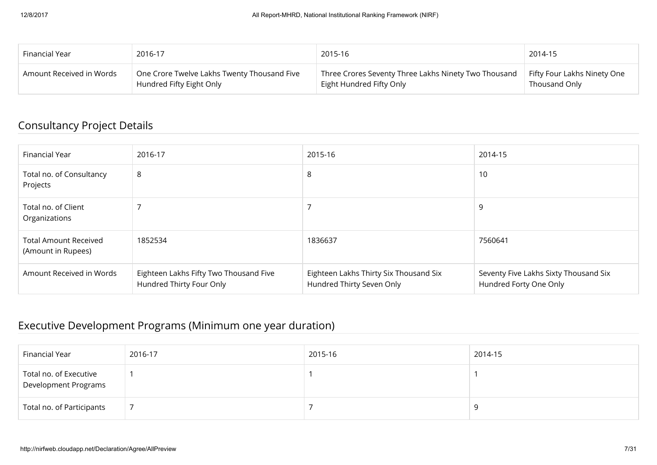| Financial Year           | 2016-17                                     | 2015-16                                              | 2014-15                     |
|--------------------------|---------------------------------------------|------------------------------------------------------|-----------------------------|
| Amount Received in Words | One Crore Twelve Lakhs Twenty Thousand Five | Three Crores Seventy Three Lakhs Ninety Two Thousand | Fifty Four Lakhs Ninety One |
|                          | Hundred Fifty Eight Only                    | Eight Hundred Fifty Only                             | Thousand Only               |

#### Consultancy Project Details

| Financial Year                                     | 2016-17                                                            | 2015-16                                                             | 2014-15                                                         |
|----------------------------------------------------|--------------------------------------------------------------------|---------------------------------------------------------------------|-----------------------------------------------------------------|
| Total no. of Consultancy<br>Projects               | 8                                                                  | 8                                                                   | 10                                                              |
| Total no. of Client<br>Organizations               |                                                                    |                                                                     | 9                                                               |
| <b>Total Amount Received</b><br>(Amount in Rupees) | 1852534                                                            | 1836637                                                             | 7560641                                                         |
| Amount Received in Words                           | Eighteen Lakhs Fifty Two Thousand Five<br>Hundred Thirty Four Only | Eighteen Lakhs Thirty Six Thousand Six<br>Hundred Thirty Seven Only | Seventy Five Lakhs Sixty Thousand Six<br>Hundred Forty One Only |

#### Executive Development Programs (Minimum one year duration)

| Financial Year                                        | 2016-17 | 2015-16 | 2014-15 |
|-------------------------------------------------------|---------|---------|---------|
| Total no. of Executive<br><b>Development Programs</b> |         |         |         |
| Total no. of Participants                             |         |         | O       |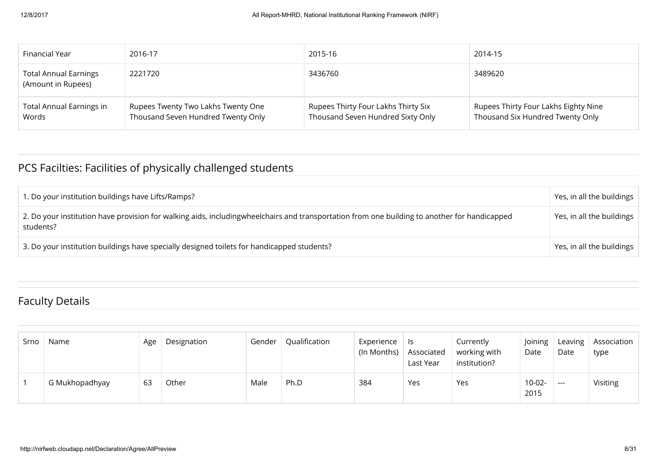| Financial Year                                     | 2016-17                                                                  | 2015-16                                                                  | 2014-15                                                                  |
|----------------------------------------------------|--------------------------------------------------------------------------|--------------------------------------------------------------------------|--------------------------------------------------------------------------|
| <b>Total Annual Earnings</b><br>(Amount in Rupees) | 2221720                                                                  | 3436760                                                                  | 3489620                                                                  |
| <b>Total Annual Earnings in</b><br>Words           | Rupees Twenty Two Lakhs Twenty One<br>Thousand Seven Hundred Twenty Only | Rupees Thirty Four Lakhs Thirty Six<br>Thousand Seven Hundred Sixty Only | Rupees Thirty Four Lakhs Eighty Nine<br>Thousand Six Hundred Twenty Only |

## PCS Facilties: Facilities of physically challenged students

| 1. Do your institution buildings have Lifts/Ramps?                                                                                                        | Yes, in all the buildings |
|-----------------------------------------------------------------------------------------------------------------------------------------------------------|---------------------------|
| 2. Do your institution have provision for walking aids, includingwheelchairs and transportation from one building to another for handicapped<br>students? | Yes, in all the buildings |
| 3. Do your institution buildings have specially designed toilets for handicapped students?                                                                | Yes, in all the buildings |

## Faculty Details

| Srno | Name           | Age | Designation | Gender | Qualification | Experience<br>(In Months) | Is.<br>Associated<br>Last Year | Currently<br>working with<br>institution? | Joining<br>Date | Leaving<br>Date      | Association<br>type |
|------|----------------|-----|-------------|--------|---------------|---------------------------|--------------------------------|-------------------------------------------|-----------------|----------------------|---------------------|
|      | G Mukhopadhyay | -63 | Other       | Male   | Ph.D          | 384                       | Yes                            | Yes                                       | 10-02-<br>2015  | $\sim$ $\sim$ $\sim$ | Visiting            |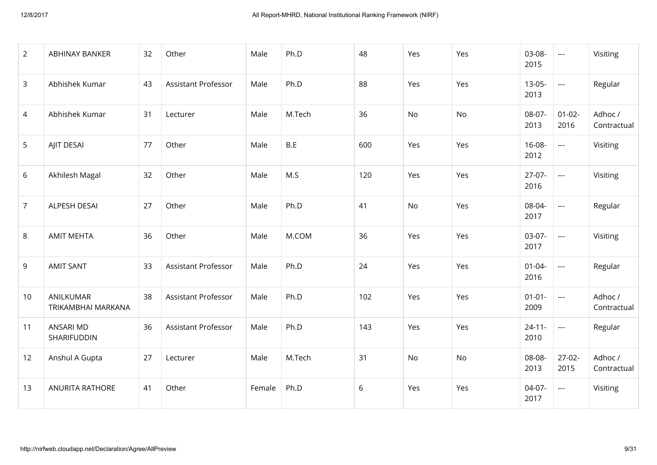| 2              | <b>ABHINAY BANKER</b>           | 32 | Other                      | Male   | Ph.D   | 48  | Yes       | Yes       | $03 - 08 -$<br>2015 | $\pm$ $\pm$ $\pm$       | Visiting               |
|----------------|---------------------------------|----|----------------------------|--------|--------|-----|-----------|-----------|---------------------|-------------------------|------------------------|
| 3              | Abhishek Kumar                  | 43 | <b>Assistant Professor</b> | Male   | Ph.D   | 88  | Yes       | Yes       | $13 - 05 -$<br>2013 | $\sim$ $\sim$           | Regular                |
| $\overline{4}$ | Abhishek Kumar                  | 31 | Lecturer                   | Male   | M.Tech | 36  | <b>No</b> | <b>No</b> | $08-07-$<br>2013    | $01 - 02 -$<br>2016     | Adhoc /<br>Contractual |
| 5              | AJIT DESAI                      | 77 | Other                      | Male   | B.E    | 600 | Yes       | Yes       | $16 - 08 -$<br>2012 | $\sim$ $\sim$           | Visiting               |
| 6              | Akhilesh Magal                  | 32 | Other                      | Male   | M.S    | 120 | Yes       | Yes       | $27 - 07 -$<br>2016 | $\sim$                  | Visiting               |
| $\overline{7}$ | ALPESH DESAI                    | 27 | Other                      | Male   | Ph.D   | 41  | <b>No</b> | Yes       | 08-04-<br>2017      | $\frac{1}{2}$           | Regular                |
| 8              | <b>AMIT MEHTA</b>               | 36 | Other                      | Male   | M.COM  | 36  | Yes       | Yes       | $03-07-$<br>2017    | $\pm$ $\pm$ $\pm$       | Visiting               |
| 9              | <b>AMIT SANT</b>                | 33 | <b>Assistant Professor</b> | Male   | Ph.D   | 24  | Yes       | Yes       | $01 - 04 -$<br>2016 | $\mathbf{L}=\mathbf{L}$ | Regular                |
| 10             | ANILKUMAR<br>TRIKAMBHAI MARKANA | 38 | Assistant Professor        | Male   | Ph.D   | 102 | Yes       | Yes       | $01 - 01 -$<br>2009 | $\frac{1}{2}$           | Adhoc /<br>Contractual |
| 11             | <b>ANSARI MD</b><br>SHARIFUDDIN | 36 | Assistant Professor        | Male   | Ph.D   | 143 | Yes       | Yes       | $24 - 11 -$<br>2010 | $\sim$                  | Regular                |
| 12             | Anshul A Gupta                  | 27 | Lecturer                   | Male   | M.Tech | 31  | No        | No        | 08-08-<br>2013      | $27-02-$<br>2015        | Adhoc /<br>Contractual |
| 13             | ANURITA RATHORE                 | 41 | Other                      | Female | Ph.D   | 6   | Yes       | Yes       | 04-07-<br>2017      | $\sim$ $\sim$           | Visiting               |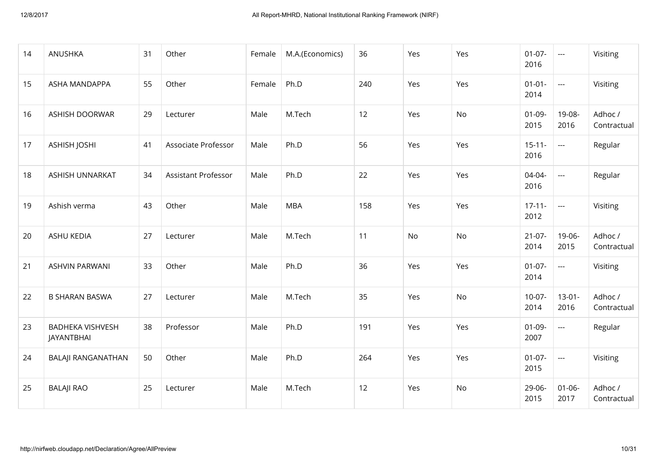| 14 | ANUSHKA                               | 31 | Other                      | Female | M.A.(Economics) | 36  | Yes | Yes       | $01 - 07 -$<br>2016 | $\sim$ $\sim$ $\sim$ | Visiting               |
|----|---------------------------------------|----|----------------------------|--------|-----------------|-----|-----|-----------|---------------------|----------------------|------------------------|
| 15 | ASHA MANDAPPA                         | 55 | Other                      | Female | Ph.D            | 240 | Yes | Yes       | $01 - 01 -$<br>2014 | $\sim$ $\sim$        | Visiting               |
| 16 | <b>ASHISH DOORWAR</b>                 | 29 | Lecturer                   | Male   | M.Tech          | 12  | Yes | No        | $01 - 09 -$<br>2015 | 19-08-<br>2016       | Adhoc /<br>Contractual |
| 17 | <b>ASHISH JOSHI</b>                   | 41 | Associate Professor        | Male   | Ph.D            | 56  | Yes | Yes       | $15 - 11 -$<br>2016 | $\sim$ $\sim$        | Regular                |
| 18 | ASHISH UNNARKAT                       | 34 | <b>Assistant Professor</b> | Male   | Ph.D            | 22  | Yes | Yes       | $04 - 04 -$<br>2016 | $\sim$ $\sim$        | Regular                |
| 19 | Ashish verma                          | 43 | Other                      | Male   | <b>MBA</b>      | 158 | Yes | Yes       | $17 - 11 -$<br>2012 | $\sim$ $\sim$        | Visiting               |
| 20 | <b>ASHU KEDIA</b>                     | 27 | Lecturer                   | Male   | M.Tech          | 11  | No  | No        | $21 - 07 -$<br>2014 | 19-06-<br>2015       | Adhoc /<br>Contractual |
| 21 | <b>ASHVIN PARWANI</b>                 | 33 | Other                      | Male   | Ph.D            | 36  | Yes | Yes       | $01 - 07 -$<br>2014 | $\sim$ $\sim$        | Visiting               |
| 22 | <b>B SHARAN BASWA</b>                 | 27 | Lecturer                   | Male   | M.Tech          | 35  | Yes | <b>No</b> | $10-07-$<br>2014    | $13 - 01 -$<br>2016  | Adhoc /<br>Contractual |
| 23 | <b>BADHEKA VISHVESH</b><br>JAYANTBHAI | 38 | Professor                  | Male   | Ph.D            | 191 | Yes | Yes       | $01 - 09 -$<br>2007 | $\sim$ $\sim$        | Regular                |
| 24 | <b>BALAJI RANGANATHAN</b>             | 50 | Other                      | Male   | Ph.D            | 264 | Yes | Yes       | $01 - 07 -$<br>2015 | $\overline{a}$       | Visiting               |
| 25 | <b>BALAJI RAO</b>                     | 25 | Lecturer                   | Male   | M.Tech          | 12  | Yes | No        | $29 - 06 -$<br>2015 | $01 - 06 -$<br>2017  | Adhoc /<br>Contractual |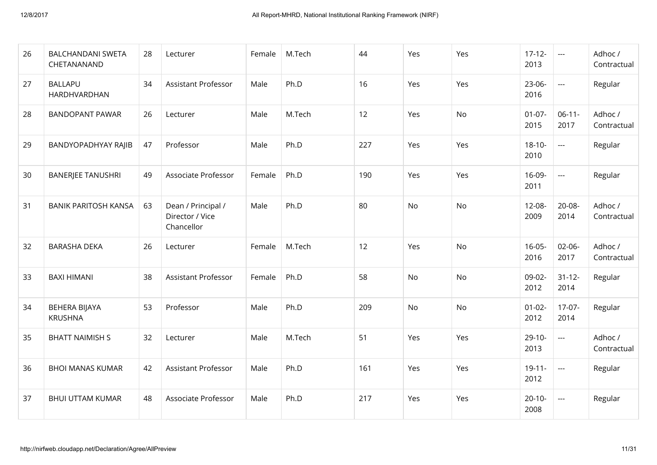| 26 | <b>BALCHANDANI SWETA</b><br>CHETANANAND | 28 | Lecturer                                            | Female | M.Tech | 44  | Yes | Yes | $17 - 12 -$<br>2013 | $\sim$ $\sim$       | Adhoc /<br>Contractual |
|----|-----------------------------------------|----|-----------------------------------------------------|--------|--------|-----|-----|-----|---------------------|---------------------|------------------------|
| 27 | <b>BALLAPU</b><br>HARDHVARDHAN          | 34 | <b>Assistant Professor</b>                          | Male   | Ph.D   | 16  | Yes | Yes | $23 - 06 -$<br>2016 | $\sim$ $\sim$       | Regular                |
| 28 | <b>BANDOPANT PAWAR</b>                  | 26 | Lecturer                                            | Male   | M.Tech | 12  | Yes | No  | $01 - 07 -$<br>2015 | $06-11-$<br>2017    | Adhoc /<br>Contractual |
| 29 | BANDYOPADHYAY RAJIB                     | 47 | Professor                                           | Male   | Ph.D   | 227 | Yes | Yes | $18 - 10 -$<br>2010 | $\sim$              | Regular                |
| 30 | <b>BANERJEE TANUSHRI</b>                | 49 | Associate Professor                                 | Female | Ph.D   | 190 | Yes | Yes | 16-09-<br>2011      | $\sim$ $\sim$       | Regular                |
| 31 | <b>BANIK PARITOSH KANSA</b>             | 63 | Dean / Principal /<br>Director / Vice<br>Chancellor | Male   | Ph.D   | 80  | No  | No  | $12 - 08 -$<br>2009 | $20 - 08 -$<br>2014 | Adhoc /<br>Contractual |
| 32 | <b>BARASHA DEKA</b>                     | 26 | Lecturer                                            | Female | M.Tech | 12  | Yes | No  | $16 - 05 -$<br>2016 | $02 - 06 -$<br>2017 | Adhoc /<br>Contractual |
| 33 | <b>BAXI HIMANI</b>                      | 38 | <b>Assistant Professor</b>                          | Female | Ph.D   | 58  | No  | No  | 09-02-<br>2012      | $31 - 12 -$<br>2014 | Regular                |
| 34 | <b>BEHERA BIJAYA</b><br><b>KRUSHNA</b>  | 53 | Professor                                           | Male   | Ph.D   | 209 | No  | No  | $01 - 02 -$<br>2012 | $17-07-$<br>2014    | Regular                |
| 35 | <b>BHATT NAIMISH S</b>                  | 32 | Lecturer                                            | Male   | M.Tech | 51  | Yes | Yes | $29 - 10 -$<br>2013 | $\sim$ $\sim$       | Adhoc /<br>Contractual |
| 36 | <b>BHOI MANAS KUMAR</b>                 | 42 | <b>Assistant Professor</b>                          | Male   | Ph.D   | 161 | Yes | Yes | $19 - 11 -$<br>2012 | $\sim$              | Regular                |
| 37 | <b>BHUI UTTAM KUMAR</b>                 | 48 | Associate Professor                                 | Male   | Ph.D   | 217 | Yes | Yes | $20 - 10 -$<br>2008 | $\sim$ $\sim$       | Regular                |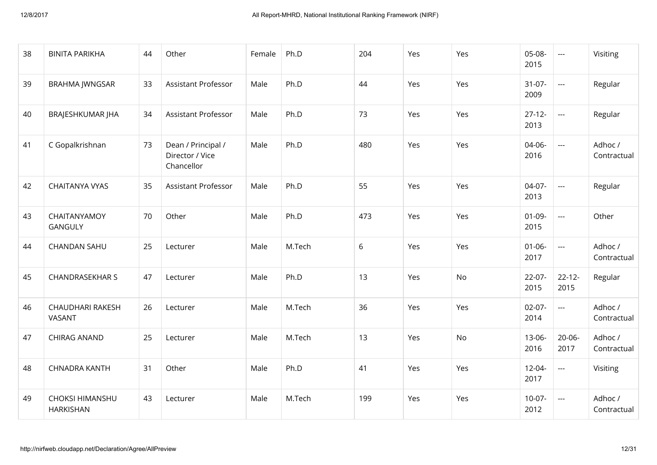| 38 | <b>BINITA PARIKHA</b>                      | 44 | Other                                               | Female | Ph.D   | 204 | Yes | Yes       | 05-08-<br>2015      | $\sim$ $\sim$        | Visiting               |
|----|--------------------------------------------|----|-----------------------------------------------------|--------|--------|-----|-----|-----------|---------------------|----------------------|------------------------|
| 39 | <b>BRAHMA JWNGSAR</b>                      | 33 | <b>Assistant Professor</b>                          | Male   | Ph.D   | 44  | Yes | Yes       | $31-07-$<br>2009    | $\sim$ $\sim$        | Regular                |
| 40 | <b>BRAJESHKUMAR JHA</b>                    | 34 | <b>Assistant Professor</b>                          | Male   | Ph.D   | 73  | Yes | Yes       | $27 - 12 -$<br>2013 | $\sim$ $\sim$        | Regular                |
| 41 | C Gopalkrishnan                            | 73 | Dean / Principal /<br>Director / Vice<br>Chancellor | Male   | Ph.D   | 480 | Yes | Yes       | $04 - 06 -$<br>2016 | $\overline{a}$       | Adhoc /<br>Contractual |
| 42 | <b>CHAITANYA VYAS</b>                      | 35 | Assistant Professor                                 | Male   | Ph.D   | 55  | Yes | Yes       | $04-07-$<br>2013    | $\frac{1}{2}$        | Regular                |
| 43 | CHAITANYAMOY<br><b>GANGULY</b>             | 70 | Other                                               | Male   | Ph.D   | 473 | Yes | Yes       | $01 - 09 -$<br>2015 | $\sim$ $\sim$ $\sim$ | Other                  |
| 44 | <b>CHANDAN SAHU</b>                        | 25 | Lecturer                                            | Male   | M.Tech | 6   | Yes | Yes       | $01 - 06 -$<br>2017 | $\sim$ $\sim$        | Adhoc /<br>Contractual |
| 45 | <b>CHANDRASEKHAR S</b>                     | 47 | Lecturer                                            | Male   | Ph.D   | 13  | Yes | <b>No</b> | $22 - 07 -$<br>2015 | $22 - 12 -$<br>2015  | Regular                |
| 46 | CHAUDHARI RAKESH<br><b>VASANT</b>          | 26 | Lecturer                                            | Male   | M.Tech | 36  | Yes | Yes       | $02 - 07 -$<br>2014 | $\overline{a}$       | Adhoc /<br>Contractual |
| 47 | <b>CHIRAG ANAND</b>                        | 25 | Lecturer                                            | Male   | M.Tech | 13  | Yes | No        | $13 - 06 -$<br>2016 | $20 - 06 -$<br>2017  | Adhoc /<br>Contractual |
| 48 | <b>CHNADRA KANTH</b>                       | 31 | Other                                               | Male   | Ph.D   | 41  | Yes | Yes       | $12 - 04 -$<br>2017 | $\frac{1}{2}$        | Visiting               |
| 49 | <b>CHOKSI HIMANSHU</b><br><b>HARKISHAN</b> | 43 | Lecturer                                            | Male   | M.Tech | 199 | Yes | Yes       | $10-07-$<br>2012    | $\sim$ $\sim$        | Adhoc /<br>Contractual |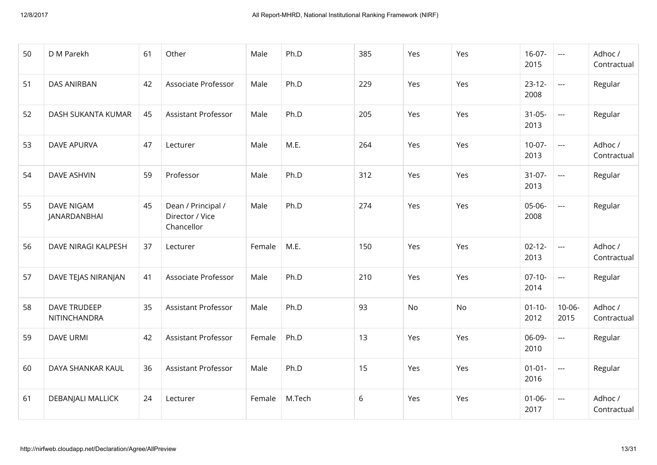| 50 | D M Parekh                        | 61 | Other                                               | Male   | Ph.D   | 385 | Yes | Yes       | $16-07-$<br>2015    | $\sim$ $\sim$              | Adhoc /<br>Contractual |
|----|-----------------------------------|----|-----------------------------------------------------|--------|--------|-----|-----|-----------|---------------------|----------------------------|------------------------|
| 51 | <b>DAS ANIRBAN</b>                | 42 | Associate Professor                                 | Male   | Ph.D   | 229 | Yes | Yes       | $23 - 12 -$<br>2008 | $\sim$                     | Regular                |
| 52 | DASH SUKANTA KUMAR                | 45 | <b>Assistant Professor</b>                          | Male   | Ph.D   | 205 | Yes | Yes       | $31 - 05 -$<br>2013 | $\sim$ $\sim$              | Regular                |
| 53 | <b>DAVE APURVA</b>                | 47 | Lecturer                                            | Male   | M.E.   | 264 | Yes | Yes       | $10-07-$<br>2013    | $\sim$ $\sim$              | Adhoc /<br>Contractual |
| 54 | DAVE ASHVIN                       | 59 | Professor                                           | Male   | Ph.D   | 312 | Yes | Yes       | $31-07-$<br>2013    | $\sim$                     | Regular                |
| 55 | <b>DAVE NIGAM</b><br>JANARDANBHAI | 45 | Dean / Principal /<br>Director / Vice<br>Chancellor | Male   | Ph.D   | 274 | Yes | Yes       | 05-06-<br>2008      | $\mathcal{L}_{\text{max}}$ | Regular                |
| 56 | DAVE NIRAGI KALPESH               | 37 | Lecturer                                            | Female | M.E.   | 150 | Yes | Yes       | $02 - 12 -$<br>2013 | $\sim$ $\sim$              | Adhoc /<br>Contractual |
| 57 | DAVE TEJAS NIRANJAN               | 41 | Associate Professor                                 | Male   | Ph.D   | 210 | Yes | Yes       | $07-10-$<br>2014    | $\sim$ $\sim$              | Regular                |
| 58 | DAVE TRUDEEP<br>NITINCHANDRA      | 35 | <b>Assistant Professor</b>                          | Male   | Ph.D   | 93  | No  | <b>No</b> | $01 - 10 -$<br>2012 | $10 - 06 -$<br>2015        | Adhoc /<br>Contractual |
| 59 | <b>DAVE URMI</b>                  | 42 | Assistant Professor                                 | Female | Ph.D   | 13  | Yes | Yes       | 06-09-<br>2010      | $\sim$ $\sim$ $\sim$       | Regular                |
| 60 | DAYA SHANKAR KAUL                 | 36 | <b>Assistant Professor</b>                          | Male   | Ph.D   | 15  | Yes | Yes       | $01 - 01 -$<br>2016 | $\sim$ $\sim$              | Regular                |
| 61 | DEBANJALI MALLICK                 | 24 | Lecturer                                            | Female | M.Tech | 6   | Yes | Yes       | $01 - 06 -$<br>2017 | $\sim$                     | Adhoc /<br>Contractual |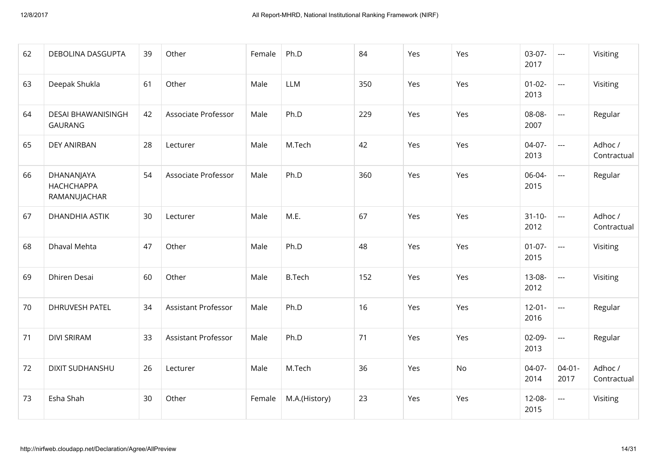| 62 | DEBOLINA DASGUPTA                               | 39 | Other                      | Female | Ph.D          | 84  | Yes | Yes | $03-07-$<br>2017    | $\sim$ $\sim$              | Visiting               |
|----|-------------------------------------------------|----|----------------------------|--------|---------------|-----|-----|-----|---------------------|----------------------------|------------------------|
| 63 | Deepak Shukla                                   | 61 | Other                      | Male   | <b>LLM</b>    | 350 | Yes | Yes | $01 - 02 -$<br>2013 | $\sim$ $\sim$              | Visiting               |
| 64 | DESAI BHAWANISINGH<br><b>GAURANG</b>            | 42 | Associate Professor        | Male   | Ph.D          | 229 | Yes | Yes | 08-08-<br>2007      | $\sim$ $\sim$              | Regular                |
| 65 | <b>DEY ANIRBAN</b>                              | 28 | Lecturer                   | Male   | M.Tech        | 42  | Yes | Yes | $04-07-$<br>2013    | $\sim$ $\sim$              | Adhoc /<br>Contractual |
| 66 | DHANANJAYA<br><b>НАСНСНАРРА</b><br>RAMANUJACHAR | 54 | Associate Professor        | Male   | Ph.D          | 360 | Yes | Yes | 06-04-<br>2015      | $\mathcal{L}_{\text{max}}$ | Regular                |
| 67 | DHANDHIA ASTIK                                  | 30 | Lecturer                   | Male   | M.E.          | 67  | Yes | Yes | $31 - 10 -$<br>2012 | $\sim$ $\sim$              | Adhoc /<br>Contractual |
| 68 | Dhaval Mehta                                    | 47 | Other                      | Male   | Ph.D          | 48  | Yes | Yes | $01 - 07 -$<br>2015 | $\sim$ $\sim$              | Visiting               |
| 69 | Dhiren Desai                                    | 60 | Other                      | Male   | <b>B.Tech</b> | 152 | Yes | Yes | $13 - 08 -$<br>2012 | $\sim$ $\sim$ $\sim$       | Visiting               |
| 70 | DHRUVESH PATEL                                  | 34 | Assistant Professor        | Male   | Ph.D          | 16  | Yes | Yes | $12 - 01 -$<br>2016 | $\sim$ $\sim$              | Regular                |
| 71 | <b>DIVI SRIRAM</b>                              | 33 | <b>Assistant Professor</b> | Male   | Ph.D          | 71  | Yes | Yes | $02 - 09 -$<br>2013 | $\sim$ $\sim$              | Regular                |
| 72 | <b>DIXIT SUDHANSHU</b>                          | 26 | Lecturer                   | Male   | M.Tech        | 36  | Yes | No  | $04-07-$<br>2014    | $04 - 01 -$<br>2017        | Adhoc /<br>Contractual |
| 73 | Esha Shah                                       | 30 | Other                      | Female | M.A.(History) | 23  | Yes | Yes | $12 - 08 -$<br>2015 | $\sim$ $\sim$ $\sim$       | Visiting               |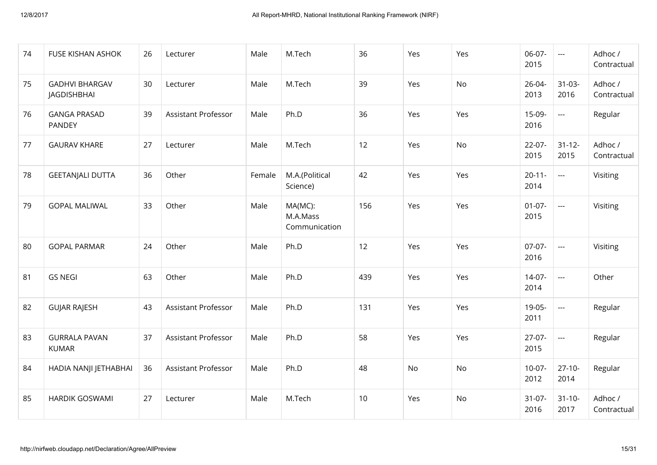| 74 | <b>FUSE KISHAN ASHOK</b>             | 26 | Lecturer                   | Male   | M.Tech                               | 36  | Yes | Yes | $06-07-$<br>2015    | $\sim$ $\sim$       | Adhoc /<br>Contractual |
|----|--------------------------------------|----|----------------------------|--------|--------------------------------------|-----|-----|-----|---------------------|---------------------|------------------------|
| 75 | <b>GADHVI BHARGAV</b><br>JAGDISHBHAI | 30 | Lecturer                   | Male   | M.Tech                               | 39  | Yes | No  | $26 - 04 -$<br>2013 | $31 - 03 -$<br>2016 | Adhoc /<br>Contractual |
| 76 | <b>GANGA PRASAD</b><br>PANDEY        | 39 | <b>Assistant Professor</b> | Male   | Ph.D                                 | 36  | Yes | Yes | $15-09-$<br>2016    | $\sim$              | Regular                |
| 77 | <b>GAURAV KHARE</b>                  | 27 | Lecturer                   | Male   | M.Tech                               | 12  | Yes | No  | $22 - 07 -$<br>2015 | $31 - 12 -$<br>2015 | Adhoc /<br>Contractual |
| 78 | <b>GEETANJALI DUTTA</b>              | 36 | Other                      | Female | M.A.(Political<br>Science)           | 42  | Yes | Yes | $20 - 11 -$<br>2014 | $\pm$ $\pm$ $\pm$   | Visiting               |
| 79 | <b>GOPAL MALIWAL</b>                 | 33 | Other                      | Male   | MA(MC):<br>M.A.Mass<br>Communication | 156 | Yes | Yes | $01 - 07 -$<br>2015 | $\sim$ $\sim$       | Visiting               |
| 80 | <b>GOPAL PARMAR</b>                  | 24 | Other                      | Male   | Ph.D                                 | 12  | Yes | Yes | $07 - 07 -$<br>2016 | $\sim$ $\sim$       | Visiting               |
| 81 | <b>GS NEGI</b>                       | 63 | Other                      | Male   | Ph.D                                 | 439 | Yes | Yes | $14-07-$<br>2014    | $\sim$              | Other                  |
| 82 | <b>GUJAR RAJESH</b>                  | 43 | <b>Assistant Professor</b> | Male   | Ph.D                                 | 131 | Yes | Yes | $19 - 05 -$<br>2011 | $\sim$              | Regular                |
| 83 | <b>GURRALA PAVAN</b><br><b>KUMAR</b> | 37 | Assistant Professor        | Male   | Ph.D                                 | 58  | Yes | Yes | $27-07-$<br>2015    | $\pm$ $\pm$ $\pm$   | Regular                |
| 84 | HADIA NANJI JETHABHAI                | 36 | <b>Assistant Professor</b> | Male   | Ph.D                                 | 48  | No  | No  | $10-07 -$<br>2012   | $27-10-$<br>2014    | Regular                |
| 85 | <b>HARDIK GOSWAMI</b>                | 27 | Lecturer                   | Male   | M.Tech                               | 10  | Yes | No  | $31-07-$<br>2016    | $31 - 10 -$<br>2017 | Adhoc /<br>Contractual |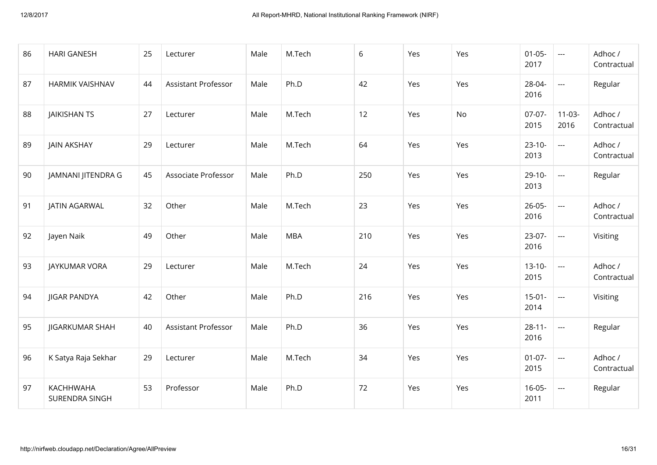| 86 | <b>HARI GANESH</b>          | 25 | Lecturer            | Male | M.Tech     | 6   | Yes | Yes | $01 - 05 -$<br>2017 | $\sim$ $\sim$        | Adhoc /<br>Contractual |
|----|-----------------------------|----|---------------------|------|------------|-----|-----|-----|---------------------|----------------------|------------------------|
| 87 | <b>HARMIK VAISHNAV</b>      | 44 | Assistant Professor | Male | Ph.D       | 42  | Yes | Yes | 28-04-<br>2016      | $\sim$               | Regular                |
| 88 | <b>JAIKISHAN TS</b>         | 27 | Lecturer            | Male | M.Tech     | 12  | Yes | No  | $07-07-$<br>2015    | $11-03-$<br>2016     | Adhoc /<br>Contractual |
| 89 | <b>JAIN AKSHAY</b>          | 29 | Lecturer            | Male | M.Tech     | 64  | Yes | Yes | $23 - 10 -$<br>2013 | $\sim$ $\sim$        | Adhoc /<br>Contractual |
| 90 | JAMNANI JITENDRA G          | 45 | Associate Professor | Male | Ph.D       | 250 | Yes | Yes | $29 - 10 -$<br>2013 | $\sim$ $\sim$        | Regular                |
| 91 | JATIN AGARWAL               | 32 | Other               | Male | M.Tech     | 23  | Yes | Yes | $26 - 05 -$<br>2016 | $\sim$               | Adhoc /<br>Contractual |
| 92 | Jayen Naik                  | 49 | Other               | Male | <b>MBA</b> | 210 | Yes | Yes | $23-07-$<br>2016    | $\sim$               | Visiting               |
| 93 | JAYKUMAR VORA               | 29 | Lecturer            | Male | M.Tech     | 24  | Yes | Yes | $13 - 10 -$<br>2015 | $\sim$ $\sim$ $\sim$ | Adhoc /<br>Contractual |
| 94 | <b>JIGAR PANDYA</b>         | 42 | Other               | Male | Ph.D       | 216 | Yes | Yes | $15-01-$<br>2014    | $\sim$               | Visiting               |
| 95 | <b>JIGARKUMAR SHAH</b>      | 40 | Assistant Professor | Male | Ph.D       | 36  | Yes | Yes | $28 - 11 -$<br>2016 | $\sim$ $\sim$        | Regular                |
| 96 | K Satya Raja Sekhar         | 29 | Lecturer            | Male | M.Tech     | 34  | Yes | Yes | $01-07-$<br>2015    | $\sim$ $\sim$        | Adhoc /<br>Contractual |
| 97 | KACHHWAHA<br>SURENDRA SINGH | 53 | Professor           | Male | Ph.D       | 72  | Yes | Yes | $16 - 05 -$<br>2011 | $\sim$ $\sim$ $\sim$ | Regular                |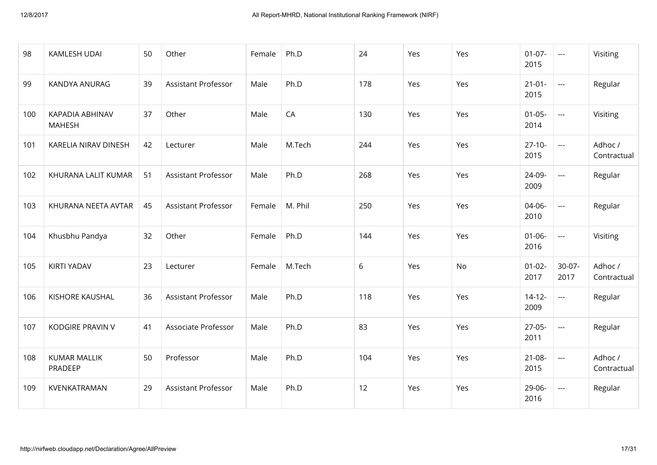| 98  | KAMLESH UDAI                     | 50 | Other                      | Female | Ph.D    | 24  | Yes | Yes | $01 - 07 -$<br>2015 | $\pm$ $\pm$ $\pm$    | Visiting               |
|-----|----------------------------------|----|----------------------------|--------|---------|-----|-----|-----|---------------------|----------------------|------------------------|
| 99  | KANDYA ANURAG                    | 39 | <b>Assistant Professor</b> | Male   | Ph.D    | 178 | Yes | Yes | $21 - 01 -$<br>2015 | $\sim$ $\sim$ $\sim$ | Regular                |
| 100 | KAPADIA ABHINAV<br><b>MAHESH</b> | 37 | Other                      | Male   | CA      | 130 | Yes | Yes | $01 - 05 -$<br>2014 | $\pm$ $\pm$ $\pm$    | Visiting               |
| 101 | KARELIA NIRAV DINESH             | 42 | Lecturer                   | Male   | M.Tech  | 244 | Yes | Yes | $27 - 10 -$<br>2015 | $\sim$ $\sim$        | Adhoc /<br>Contractual |
| 102 | KHURANA LALIT KUMAR              | 51 | <b>Assistant Professor</b> | Male   | Ph.D    | 268 | Yes | Yes | 24-09-<br>2009      | $\sim$ $\sim$        | Regular                |
| 103 | KHURANA NEETA AVTAR              | 45 | <b>Assistant Professor</b> | Female | M. Phil | 250 | Yes | Yes | 04-06-<br>2010      | $\sim$               | Regular                |
| 104 | Khusbhu Pandya                   | 32 | Other                      | Female | Ph.D    | 144 | Yes | Yes | $01 - 06 -$<br>2016 | $\pm$ $\pm$ $\pm$    | Visiting               |
| 105 | <b>KIRTI YADAV</b>               | 23 | Lecturer                   | Female | M.Tech  | 6   | Yes | No  | $01 - 02 -$<br>2017 | $30-07 -$<br>2017    | Adhoc /<br>Contractual |
| 106 | KISHORE KAUSHAL                  | 36 | <b>Assistant Professor</b> | Male   | Ph.D    | 118 | Yes | Yes | $14 - 12 -$<br>2009 | $\sim$               | Regular                |
| 107 | <b>KODGIRE PRAVIN V</b>          | 41 | Associate Professor        | Male   | Ph.D    | 83  | Yes | Yes | $27 - 05 -$<br>2011 | $\sim$ $\sim$        | Regular                |
| 108 | <b>KUMAR MALLIK</b><br>PRADEEP   | 50 | Professor                  | Male   | Ph.D    | 104 | Yes | Yes | $21 - 08 -$<br>2015 | $\sim$ $\sim$        | Adhoc /<br>Contractual |
| 109 | KVENKATRAMAN                     | 29 | <b>Assistant Professor</b> | Male   | Ph.D    | 12  | Yes | Yes | 29-06-<br>2016      | $\sim$ $\sim$        | Regular                |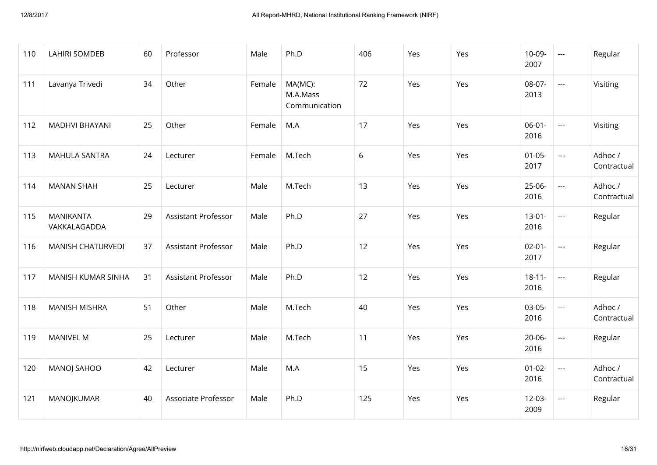| 110 | <b>LAHIRI SOMDEB</b>             | 60 | Professor                  | Male   | Ph.D                                 | 406 | Yes | Yes | $10-09-$<br>2007    | $\sim$ $\sim$ $\sim$       | Regular                |
|-----|----------------------------------|----|----------------------------|--------|--------------------------------------|-----|-----|-----|---------------------|----------------------------|------------------------|
| 111 | Lavanya Trivedi                  | 34 | Other                      | Female | MA(MC):<br>M.A.Mass<br>Communication | 72  | Yes | Yes | 08-07-<br>2013      | $\sim$ $\sim$              | Visiting               |
| 112 | <b>MADHVI BHAYANI</b>            | 25 | Other                      | Female | M.A                                  | 17  | Yes | Yes | $06 - 01 -$<br>2016 | $\mathcal{L}_{\text{max}}$ | Visiting               |
| 113 | <b>MAHULA SANTRA</b>             | 24 | Lecturer                   | Female | M.Tech                               | 6   | Yes | Yes | $01 - 05 -$<br>2017 | $\sim$ $\sim$              | Adhoc /<br>Contractual |
| 114 | <b>MANAN SHAH</b>                | 25 | Lecturer                   | Male   | M.Tech                               | 13  | Yes | Yes | $25-06-$<br>2016    | $\sim$ $\sim$              | Adhoc /<br>Contractual |
| 115 | <b>MANIKANTA</b><br>VAKKALAGADDA | 29 | <b>Assistant Professor</b> | Male   | Ph.D                                 | 27  | Yes | Yes | $13 - 01 -$<br>2016 | $\sim$ $\sim$              | Regular                |
| 116 | <b>MANISH CHATURVEDI</b>         | 37 | Assistant Professor        | Male   | Ph.D                                 | 12  | Yes | Yes | $02 - 01 -$<br>2017 | $\sim$ $\sim$ $\sim$       | Regular                |
| 117 | <b>MANISH KUMAR SINHA</b>        | 31 | <b>Assistant Professor</b> | Male   | Ph.D                                 | 12  | Yes | Yes | $18 - 11 -$<br>2016 | $\sim$ $\sim$ $\sim$       | Regular                |
| 118 | <b>MANISH MISHRA</b>             | 51 | Other                      | Male   | M.Tech                               | 40  | Yes | Yes | $03 - 05 -$<br>2016 | $\sim$ $\sim$ $\sim$       | Adhoc /<br>Contractual |
| 119 | <b>MANIVEL M</b>                 | 25 | Lecturer                   | Male   | M.Tech                               | 11  | Yes | Yes | $20 - 06 -$<br>2016 | $\sim$ $\sim$              | Regular                |
| 120 | MANOJ SAHOO                      | 42 | Lecturer                   | Male   | M.A                                  | 15  | Yes | Yes | $01 - 02 -$<br>2016 | $\sim$ $\sim$              | Adhoc /<br>Contractual |
| 121 | MANOJKUMAR                       | 40 | Associate Professor        | Male   | Ph.D                                 | 125 | Yes | Yes | $12 - 03 -$<br>2009 | $\sim$ $\sim$              | Regular                |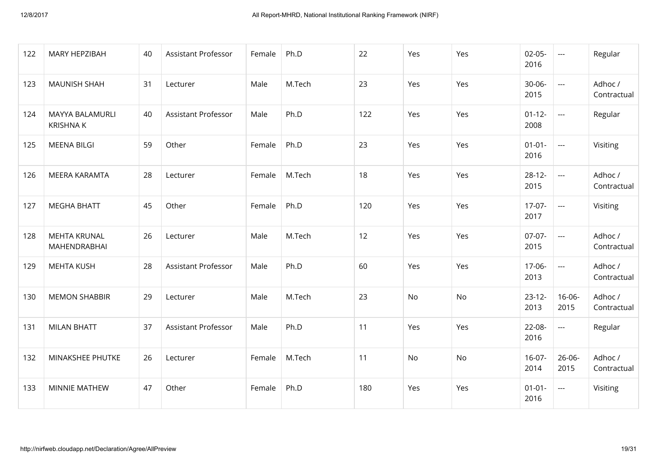| 122 | MARY HEPZIBAH                       | 40 | <b>Assistant Professor</b> | Female | Ph.D   | 22  | Yes       | Yes       | $02 - 05 -$<br>2016 | $\sim$ $\sim$        | Regular                |
|-----|-------------------------------------|----|----------------------------|--------|--------|-----|-----------|-----------|---------------------|----------------------|------------------------|
| 123 | <b>MAUNISH SHAH</b>                 | 31 | Lecturer                   | Male   | M.Tech | 23  | Yes       | Yes       | $30 - 06 -$<br>2015 | $\pm$ $\pm$ $\pm$    | Adhoc /<br>Contractual |
| 124 | MAYYA BALAMURLI<br><b>KRISHNAK</b>  | 40 | Assistant Professor        | Male   | Ph.D   | 122 | Yes       | Yes       | $01 - 12 -$<br>2008 | $\sim$ $\sim$ $\sim$ | Regular                |
| 125 | <b>MEENA BILGI</b>                  | 59 | Other                      | Female | Ph.D   | 23  | Yes       | Yes       | $01 - 01 -$<br>2016 | $\pm$ $\pm$ $\pm$    | Visiting               |
| 126 | <b>MEERA KARAMTA</b>                | 28 | Lecturer                   | Female | M.Tech | 18  | Yes       | Yes       | $28 - 12 -$<br>2015 | $\pm$ $\pm$ $\pm$    | Adhoc /<br>Contractual |
| 127 | <b>MEGHA BHATT</b>                  | 45 | Other                      | Female | Ph.D   | 120 | Yes       | Yes       | $17-07-$<br>2017    | $\sim$ $\sim$        | Visiting               |
| 128 | <b>MEHTA KRUNAL</b><br>MAHENDRABHAI | 26 | Lecturer                   | Male   | M.Tech | 12  | Yes       | Yes       | $07-07-$<br>2015    | $\sim$ $\sim$        | Adhoc /<br>Contractual |
| 129 | <b>MEHTA KUSH</b>                   | 28 | <b>Assistant Professor</b> | Male   | Ph.D   | 60  | Yes       | Yes       | $17-06-$<br>2013    | $\sim$ $\sim$        | Adhoc /<br>Contractual |
| 130 | <b>MEMON SHABBIR</b>                | 29 | Lecturer                   | Male   | M.Tech | 23  | No        | No        | $23 - 12 -$<br>2013 | $16 - 06 -$<br>2015  | Adhoc /<br>Contractual |
| 131 | <b>MILAN BHATT</b>                  | 37 | Assistant Professor        | Male   | Ph.D   | 11  | Yes       | Yes       | $22 - 08 -$<br>2016 | $\sim$ $\sim$        | Regular                |
| 132 | MINAKSHEE PHUTKE                    | 26 | Lecturer                   | Female | M.Tech | 11  | <b>No</b> | <b>No</b> | $16 - 07 -$<br>2014 | $26 - 06 -$<br>2015  | Adhoc /<br>Contractual |
| 133 | MINNIE MATHEW                       | 47 | Other                      | Female | Ph.D   | 180 | Yes       | Yes       | $01 - 01 -$<br>2016 | $\sim$ $\sim$        | Visiting               |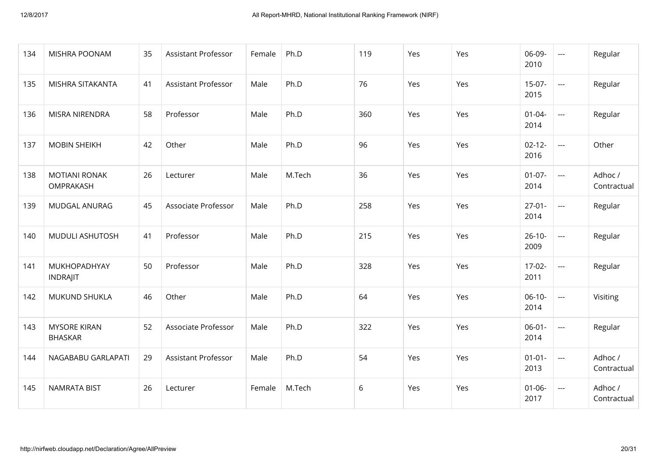| 134 | MISHRA POONAM                         | 35 | <b>Assistant Professor</b> | Female | Ph.D   | 119 | Yes | Yes | 06-09-<br>2010      | $\sim$               | Regular                |
|-----|---------------------------------------|----|----------------------------|--------|--------|-----|-----|-----|---------------------|----------------------|------------------------|
| 135 | MISHRA SITAKANTA                      | 41 | <b>Assistant Professor</b> | Male   | Ph.D   | 76  | Yes | Yes | $15-07-$<br>2015    | $\sim$               | Regular                |
| 136 | MISRA NIRENDRA                        | 58 | Professor                  | Male   | Ph.D   | 360 | Yes | Yes | $01 - 04 -$<br>2014 | $\sim$               | Regular                |
| 137 | <b>MOBIN SHEIKH</b>                   | 42 | Other                      | Male   | Ph.D   | 96  | Yes | Yes | $02 - 12 -$<br>2016 | $\sim$ $\sim$        | Other                  |
| 138 | <b>MOTIANI RONAK</b><br>OMPRAKASH     | 26 | Lecturer                   | Male   | M.Tech | 36  | Yes | Yes | $01-07-$<br>2014    | $\sim$ $\sim$ $\sim$ | Adhoc /<br>Contractual |
| 139 | MUDGAL ANURAG                         | 45 | Associate Professor        | Male   | Ph.D   | 258 | Yes | Yes | $27 - 01 -$<br>2014 | $\sim$ $\sim$ $\sim$ | Regular                |
| 140 | MUDULI ASHUTOSH                       | 41 | Professor                  | Male   | Ph.D   | 215 | Yes | Yes | $26 - 10 -$<br>2009 | $\sim$ $\sim$        | Regular                |
| 141 | MUKHOPADHYAY<br><b>INDRAJIT</b>       | 50 | Professor                  | Male   | Ph.D   | 328 | Yes | Yes | $17 - 02 -$<br>2011 | $\sim$ $\sim$        | Regular                |
| 142 | MUKUND SHUKLA                         | 46 | Other                      | Male   | Ph.D   | 64  | Yes | Yes | $06-10-$<br>2014    | $\sim$ $\sim$ $\sim$ | Visiting               |
| 143 | <b>MYSORE KIRAN</b><br><b>BHASKAR</b> | 52 | Associate Professor        | Male   | Ph.D   | 322 | Yes | Yes | $06 - 01 -$<br>2014 | $\sim$ $\sim$        | Regular                |
| 144 | NAGABABU GARLAPATI                    | 29 | <b>Assistant Professor</b> | Male   | Ph.D   | 54  | Yes | Yes | $01 - 01 -$<br>2013 | $\sim$ $\sim$        | Adhoc /<br>Contractual |
| 145 | <b>NAMRATA BIST</b>                   | 26 | Lecturer                   | Female | M.Tech | 6   | Yes | Yes | $01 - 06 -$<br>2017 | $\sim$ $\sim$        | Adhoc /<br>Contractual |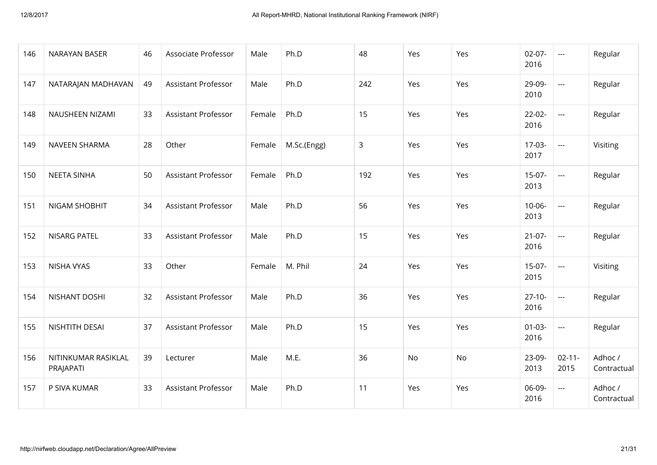| 146 | NARAYAN BASER                    | 46 | Associate Professor        | Male   | Ph.D        | 48  | Yes       | Yes       | $02 - 07 -$<br>2016 | $\sim$ $\sim$       | Regular                |
|-----|----------------------------------|----|----------------------------|--------|-------------|-----|-----------|-----------|---------------------|---------------------|------------------------|
| 147 | NATARAJAN MADHAVAN               | 49 | <b>Assistant Professor</b> | Male   | Ph.D        | 242 | Yes       | Yes       | 29-09-<br>2010      | $\sim$ $\sim$       | Regular                |
| 148 | NAUSHEEN NIZAMI                  | 33 | <b>Assistant Professor</b> | Female | Ph.D        | 15  | Yes       | Yes       | $22 - 02 -$<br>2016 | $\sim$ $\sim$       | Regular                |
| 149 | <b>NAVEEN SHARMA</b>             | 28 | Other                      | Female | M.Sc.(Engg) | 3   | Yes       | Yes       | $17-03-$<br>2017    | $\sim$ $\sim$       | Visiting               |
| 150 | <b>NEETA SINHA</b>               | 50 | <b>Assistant Professor</b> | Female | Ph.D        | 192 | Yes       | Yes       | $15-07-$<br>2013    | $\sim$ $\sim$       | Regular                |
| 151 | NIGAM SHOBHIT                    | 34 | <b>Assistant Professor</b> | Male   | Ph.D        | 56  | Yes       | Yes       | $10 - 06 -$<br>2013 | $\pm$ $\pm$ $\pm$   | Regular                |
| 152 | <b>NISARG PATEL</b>              | 33 | <b>Assistant Professor</b> | Male   | Ph.D        | 15  | Yes       | Yes       | $21-07-$<br>2016    | $\sim$ $\sim$       | Regular                |
| 153 | NISHA VYAS                       | 33 | Other                      | Female | M. Phil     | 24  | Yes       | Yes       | $15-07-$<br>2015    | $\pm$ $\pm$ $\pm$   | Visiting               |
| 154 | NISHANT DOSHI                    | 32 | <b>Assistant Professor</b> | Male   | Ph.D        | 36  | Yes       | Yes       | $27 - 10 -$<br>2016 | $\pm$ $\pm$ $\pm$   | Regular                |
| 155 | NISHTITH DESAI                   | 37 | Assistant Professor        | Male   | Ph.D        | 15  | Yes       | Yes       | $01 - 03 -$<br>2016 | $\pm$ $\pm$ $\pm$   | Regular                |
| 156 | NITINKUMAR RASIKLAL<br>PRAJAPATI | 39 | Lecturer                   | Male   | M.E.        | 36  | <b>No</b> | <b>No</b> | 23-09-<br>2013      | $02 - 11 -$<br>2015 | Adhoc /<br>Contractual |
| 157 | P SIVA KUMAR                     | 33 | <b>Assistant Professor</b> | Male   | Ph.D        | 11  | Yes       | Yes       | 06-09-<br>2016      | $\sim$ $\sim$       | Adhoc /<br>Contractual |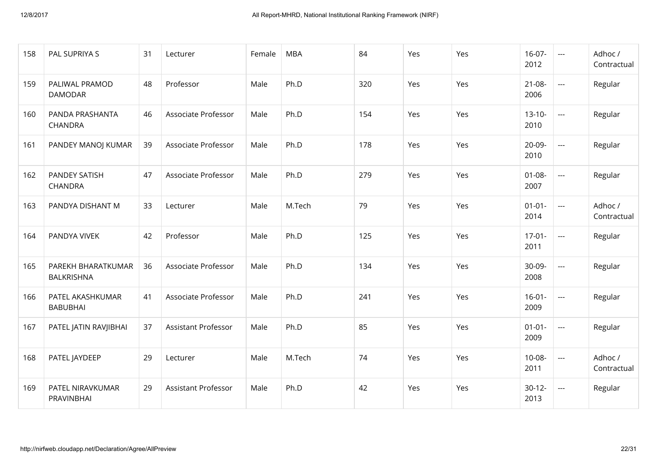| 158 | PAL SUPRIYA S                       | 31 | Lecturer                   | Female | <b>MBA</b> | 84  | Yes | Yes | $16-07-$<br>2012    | $\sim$ $\sim$        | Adhoc /<br>Contractual |
|-----|-------------------------------------|----|----------------------------|--------|------------|-----|-----|-----|---------------------|----------------------|------------------------|
| 159 | PALIWAL PRAMOD<br><b>DAMODAR</b>    | 48 | Professor                  | Male   | Ph.D       | 320 | Yes | Yes | $21 - 08 -$<br>2006 | $\sim$ $\sim$        | Regular                |
| 160 | PANDA PRASHANTA<br><b>CHANDRA</b>   | 46 | Associate Professor        | Male   | Ph.D       | 154 | Yes | Yes | $13 - 10 -$<br>2010 | $\sim$ $\sim$        | Regular                |
| 161 | PANDEY MANOJ KUMAR                  | 39 | Associate Professor        | Male   | Ph.D       | 178 | Yes | Yes | $20-09-$<br>2010    | $\sim$ $\sim$ $\sim$ | Regular                |
| 162 | PANDEY SATISH<br>CHANDRA            | 47 | Associate Professor        | Male   | Ph.D       | 279 | Yes | Yes | $01 - 08 -$<br>2007 | $\sim$               | Regular                |
| 163 | PANDYA DISHANT M                    | 33 | Lecturer                   | Male   | M.Tech     | 79  | Yes | Yes | $01 - 01 -$<br>2014 | $\sim$ $\sim$        | Adhoc /<br>Contractual |
| 164 | PANDYA VIVEK                        | 42 | Professor                  | Male   | Ph.D       | 125 | Yes | Yes | $17-01-$<br>2011    | $\sim$ $\sim$        | Regular                |
| 165 | PAREKH BHARATKUMAR<br>BALKRISHNA    | 36 | Associate Professor        | Male   | Ph.D       | 134 | Yes | Yes | $30 - 09 -$<br>2008 | $\frac{1}{2}$        | Regular                |
| 166 | PATEL AKASHKUMAR<br><b>BABUBHAI</b> | 41 | Associate Professor        | Male   | Ph.D       | 241 | Yes | Yes | $16 - 01 -$<br>2009 | $\sim$ $\sim$ $\sim$ | Regular                |
| 167 | PATEL JATIN RAVJIBHAI               | 37 | Assistant Professor        | Male   | Ph.D       | 85  | Yes | Yes | $01 - 01 -$<br>2009 | $\sim$ $\sim$        | Regular                |
| 168 | PATEL JAYDEEP                       | 29 | Lecturer                   | Male   | M.Tech     | 74  | Yes | Yes | $10 - 08 -$<br>2011 | $\sim$ $\sim$ $\sim$ | Adhoc /<br>Contractual |
| 169 | PATEL NIRAVKUMAR<br>PRAVINBHAI      | 29 | <b>Assistant Professor</b> | Male   | Ph.D       | 42  | Yes | Yes | $30-12-$<br>2013    | $\sim$ $\sim$        | Regular                |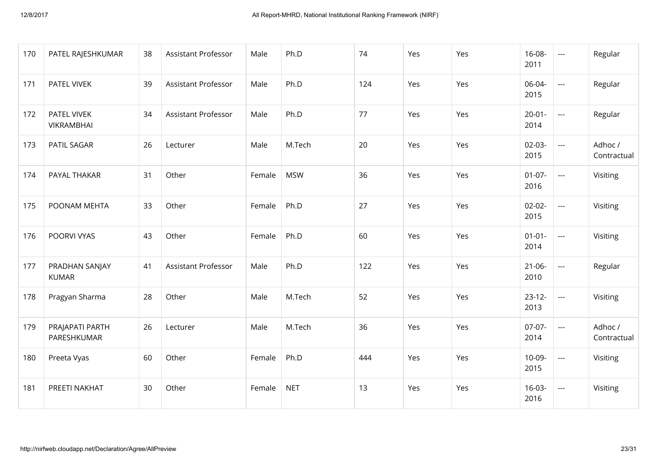| 170 | PATEL RAJESHKUMAR                | 38 | <b>Assistant Professor</b> | Male   | Ph.D       | 74  | Yes | Yes | $16 - 08 -$<br>2011 | $\sim$                  | Regular                |
|-----|----------------------------------|----|----------------------------|--------|------------|-----|-----|-----|---------------------|-------------------------|------------------------|
| 171 | PATEL VIVEK                      | 39 | <b>Assistant Professor</b> | Male   | Ph.D       | 124 | Yes | Yes | 06-04-<br>2015      | $\sim$                  | Regular                |
| 172 | PATEL VIVEK<br><b>VIKRAMBHAI</b> | 34 | <b>Assistant Professor</b> | Male   | Ph.D       | 77  | Yes | Yes | $20 - 01 -$<br>2014 | $\sim$ $\sim$           | Regular                |
| 173 | PATIL SAGAR                      | 26 | Lecturer                   | Male   | M.Tech     | 20  | Yes | Yes | $02 - 03 -$<br>2015 | $\sim$ $\sim$           | Adhoc /<br>Contractual |
| 174 | PAYAL THAKAR                     | 31 | Other                      | Female | <b>MSW</b> | 36  | Yes | Yes | $01-07-$<br>2016    | $\sim$ $\sim$           | Visiting               |
| 175 | POONAM MEHTA                     | 33 | Other                      | Female | Ph.D       | 27  | Yes | Yes | $02 - 02 -$<br>2015 | $\sim$ $\sim$           | Visiting               |
| 176 | POORVI VYAS                      | 43 | Other                      | Female | Ph.D       | 60  | Yes | Yes | $01 - 01 -$<br>2014 | $\sim$ $\sim$           | Visiting               |
| 177 | PRADHAN SANJAY<br><b>KUMAR</b>   | 41 | <b>Assistant Professor</b> | Male   | Ph.D       | 122 | Yes | Yes | $21 - 06 -$<br>2010 | $\frac{1}{2}$           | Regular                |
| 178 | Pragyan Sharma                   | 28 | Other                      | Male   | M.Tech     | 52  | Yes | Yes | $23 - 12 -$<br>2013 | $\sim$ $\sim$           | Visiting               |
| 179 | PRAJAPATI PARTH<br>PARESHKUMAR   | 26 | Lecturer                   | Male   | M.Tech     | 36  | Yes | Yes | $07-07-$<br>2014    | $\mathbf{L}=\mathbf{L}$ | Adhoc /<br>Contractual |
| 180 | Preeta Vyas                      | 60 | Other                      | Female | Ph.D       | 444 | Yes | Yes | $10 - 09 -$<br>2015 | $\sim$ $\sim$ $\sim$    | Visiting               |
| 181 | PREETI NAKHAT                    | 30 | Other                      | Female | <b>NET</b> | 13  | Yes | Yes | $16 - 03 -$<br>2016 | $\sim$ $\sim$           | Visiting               |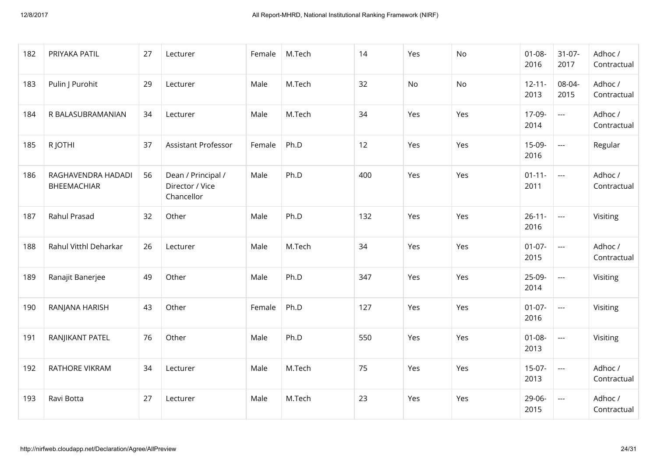| 182 | PRIYAKA PATIL                            | 27 | Lecturer                                            | Female | M.Tech | 14  | Yes | No  | $01 - 08 -$<br>2016 | $31-07-$<br>2017                 | Adhoc /<br>Contractual |
|-----|------------------------------------------|----|-----------------------------------------------------|--------|--------|-----|-----|-----|---------------------|----------------------------------|------------------------|
| 183 | Pulin J Purohit                          | 29 | Lecturer                                            | Male   | M.Tech | 32  | No  | No  | $12 - 11 -$<br>2013 | 08-04-<br>2015                   | Adhoc /<br>Contractual |
| 184 | R BALASUBRAMANIAN                        | 34 | Lecturer                                            | Male   | M.Tech | 34  | Yes | Yes | 17-09-<br>2014      | $\sim$                           | Adhoc /<br>Contractual |
| 185 | R JOTHI                                  | 37 | Assistant Professor                                 | Female | Ph.D   | 12  | Yes | Yes | $15-09-$<br>2016    | $\mathbb{L}\mathbb{L}\mathbb{L}$ | Regular                |
| 186 | RAGHAVENDRA HADADI<br><b>BHEEMACHIAR</b> | 56 | Dean / Principal /<br>Director / Vice<br>Chancellor | Male   | Ph.D   | 400 | Yes | Yes | $01 - 11 -$<br>2011 | $\sim$ $\sim$                    | Adhoc /<br>Contractual |
| 187 | Rahul Prasad                             | 32 | Other                                               | Male   | Ph.D   | 132 | Yes | Yes | $26 - 11 -$<br>2016 | $\sim$                           | Visiting               |
| 188 | Rahul Vitthl Deharkar                    | 26 | Lecturer                                            | Male   | M.Tech | 34  | Yes | Yes | $01-07-$<br>2015    | $\sim$ $\sim$                    | Adhoc /<br>Contractual |
| 189 | Ranajit Banerjee                         | 49 | Other                                               | Male   | Ph.D   | 347 | Yes | Yes | $25-09-$<br>2014    | $\overline{a}$                   | Visiting               |
| 190 | RANJANA HARISH                           | 43 | Other                                               | Female | Ph.D   | 127 | Yes | Yes | $01 - 07 -$<br>2016 | $\sim$ $\sim$                    | Visiting               |
| 191 | RANJIKANT PATEL                          | 76 | Other                                               | Male   | Ph.D   | 550 | Yes | Yes | $01 - 08 -$<br>2013 | $\sim$ $\sim$ $\sim$             | Visiting               |
| 192 | <b>RATHORE VIKRAM</b>                    | 34 | Lecturer                                            | Male   | M.Tech | 75  | Yes | Yes | $15-07-$<br>2013    | $\sim$ $\sim$                    | Adhoc /<br>Contractual |
| 193 | Ravi Botta                               | 27 | Lecturer                                            | Male   | M.Tech | 23  | Yes | Yes | $29 - 06 -$<br>2015 | $\overline{a}$                   | Adhoc /<br>Contractual |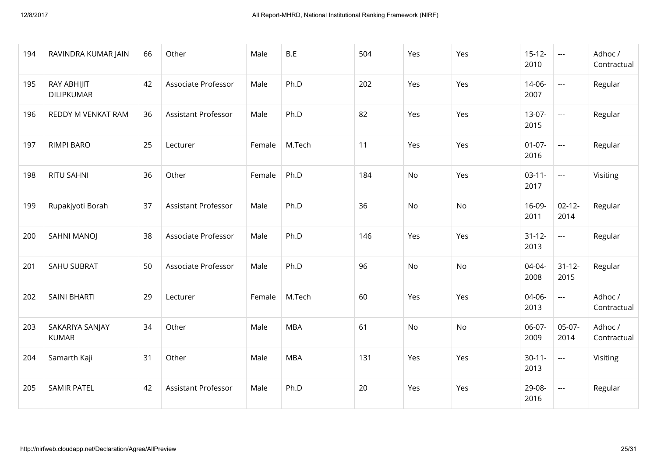| 194 | RAVINDRA KUMAR JAIN              | 66 | Other                      | Male   | B.E        | 504 | Yes | Yes | $15 - 12 -$<br>2010 | $\sim$ $\sim$        | Adhoc /<br>Contractual |
|-----|----------------------------------|----|----------------------------|--------|------------|-----|-----|-----|---------------------|----------------------|------------------------|
| 195 | RAY ABHIJIT<br><b>DILIPKUMAR</b> | 42 | Associate Professor        | Male   | Ph.D       | 202 | Yes | Yes | $14 - 06 -$<br>2007 | $\sim$ $\sim$        | Regular                |
| 196 | REDDY M VENKAT RAM               | 36 | Assistant Professor        | Male   | Ph.D       | 82  | Yes | Yes | $13 - 07 -$<br>2015 | $\sim$               | Regular                |
| 197 | <b>RIMPI BARO</b>                | 25 | Lecturer                   | Female | M.Tech     | 11  | Yes | Yes | $01 - 07 -$<br>2016 | $\sim$ $\sim$ $\sim$ | Regular                |
| 198 | <b>RITU SAHNI</b>                | 36 | Other                      | Female | Ph.D       | 184 | No  | Yes | $03 - 11 -$<br>2017 | $\sim$ $\sim$        | Visiting               |
| 199 | Rupakjyoti Borah                 | 37 | <b>Assistant Professor</b> | Male   | Ph.D       | 36  | No  | No  | $16-09-$<br>2011    | $02 - 12 -$<br>2014  | Regular                |
| 200 | SAHNI MANOJ                      | 38 | Associate Professor        | Male   | Ph.D       | 146 | Yes | Yes | $31 - 12 -$<br>2013 | $\frac{1}{2}$        | Regular                |
| 201 | <b>SAHU SUBRAT</b>               | 50 | Associate Professor        | Male   | Ph.D       | 96  | No  | No  | $04 - 04 -$<br>2008 | $31 - 12 -$<br>2015  | Regular                |
| 202 | <b>SAINI BHARTI</b>              | 29 | Lecturer                   | Female | M.Tech     | 60  | Yes | Yes | $04 - 06 -$<br>2013 | $\sim$               | Adhoc /<br>Contractual |
| 203 | SAKARIYA SANJAY<br><b>KUMAR</b>  | 34 | Other                      | Male   | <b>MBA</b> | 61  | No  | No  | 06-07-<br>2009      | $05-07-$<br>2014     | Adhoc /<br>Contractual |
| 204 | Samarth Kaji                     | 31 | Other                      | Male   | <b>MBA</b> | 131 | Yes | Yes | $30 - 11 -$<br>2013 | $\sim$ $\sim$        | Visiting               |
| 205 | <b>SAMIR PATEL</b>               | 42 | <b>Assistant Professor</b> | Male   | Ph.D       | 20  | Yes | Yes | 29-08-<br>2016      | $\sim$ $\sim$        | Regular                |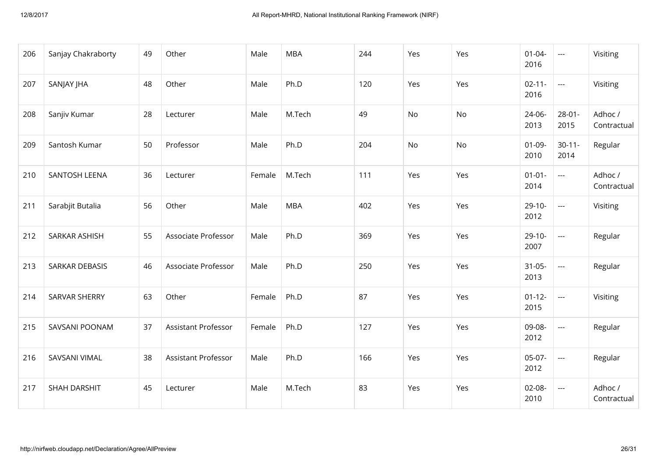| 206 | Sanjay Chakraborty    | 49 | Other                      | Male   | <b>MBA</b> | 244 | Yes | Yes | $01 - 04 -$<br>2016 | $\sim$ $\sim$ $\sim$ | Visiting               |
|-----|-----------------------|----|----------------------------|--------|------------|-----|-----|-----|---------------------|----------------------|------------------------|
| 207 | SANJAY JHA            | 48 | Other                      | Male   | Ph.D       | 120 | Yes | Yes | $02 - 11 -$<br>2016 | $\sim$ $\sim$        | Visiting               |
| 208 | Sanjiv Kumar          | 28 | Lecturer                   | Male   | M.Tech     | 49  | No  | No  | $24 - 06 -$<br>2013 | $28 - 01 -$<br>2015  | Adhoc /<br>Contractual |
| 209 | Santosh Kumar         | 50 | Professor                  | Male   | Ph.D       | 204 | No  | No  | $01-09-$<br>2010    | $30 - 11 -$<br>2014  | Regular                |
| 210 | SANTOSH LEENA         | 36 | Lecturer                   | Female | M.Tech     | 111 | Yes | Yes | $01 - 01 -$<br>2014 | $\sim$ $\sim$        | Adhoc /<br>Contractual |
| 211 | Sarabjit Butalia      | 56 | Other                      | Male   | <b>MBA</b> | 402 | Yes | Yes | $29-10-$<br>2012    | $\sim$ $\sim$        | Visiting               |
| 212 | <b>SARKAR ASHISH</b>  | 55 | Associate Professor        | Male   | Ph.D       | 369 | Yes | Yes | $29-10-$<br>2007    | $\sim$ $\sim$ $\sim$ | Regular                |
| 213 | <b>SARKAR DEBASIS</b> | 46 | Associate Professor        | Male   | Ph.D       | 250 | Yes | Yes | $31 - 05 -$<br>2013 | $\frac{1}{2}$        | Regular                |
| 214 | <b>SARVAR SHERRY</b>  | 63 | Other                      | Female | Ph.D       | 87  | Yes | Yes | $01 - 12 -$<br>2015 | $\sim$ $\sim$        | Visiting               |
| 215 | SAVSANI POONAM        | 37 | <b>Assistant Professor</b> | Female | Ph.D       | 127 | Yes | Yes | 09-08-<br>2012      | $\frac{1}{2}$        | Regular                |
| 216 | SAVSANI VIMAL         | 38 | <b>Assistant Professor</b> | Male   | Ph.D       | 166 | Yes | Yes | $05-07-$<br>2012    | $\sim$ $\sim$        | Regular                |
| 217 | <b>SHAH DARSHIT</b>   | 45 | Lecturer                   | Male   | M.Tech     | 83  | Yes | Yes | $02 - 08 -$<br>2010 | $\frac{1}{2}$        | Adhoc /<br>Contractual |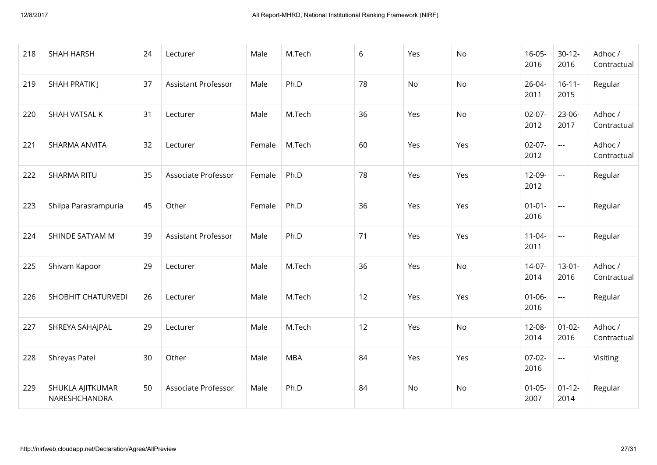| 218 | <b>SHAH HARSH</b>                 | 24 | Lecturer                   | Male   | M.Tech     | 6  | Yes | <b>No</b> | $16 - 05 -$<br>2016 | $30 - 12 -$<br>2016 | Adhoc /<br>Contractual |
|-----|-----------------------------------|----|----------------------------|--------|------------|----|-----|-----------|---------------------|---------------------|------------------------|
| 219 | SHAH PRATIK J                     | 37 | <b>Assistant Professor</b> | Male   | Ph.D       | 78 | No  | No        | $26 - 04 -$<br>2011 | $16 - 11 -$<br>2015 | Regular                |
| 220 | SHAH VATSAL K                     | 31 | Lecturer                   | Male   | M.Tech     | 36 | Yes | <b>No</b> | $02 - 07 -$<br>2012 | $23 - 06 -$<br>2017 | Adhoc /<br>Contractual |
| 221 | SHARMA ANVITA                     | 32 | Lecturer                   | Female | M.Tech     | 60 | Yes | Yes       | $02 - 07 -$<br>2012 | $\sim$ $\sim$       | Adhoc /<br>Contractual |
| 222 | <b>SHARMA RITU</b>                | 35 | Associate Professor        | Female | Ph.D       | 78 | Yes | Yes       | $12-09-$<br>2012    | $\sim$              | Regular                |
| 223 | Shilpa Parasrampuria              | 45 | Other                      | Female | Ph.D       | 36 | Yes | Yes       | $01 - 01 -$<br>2016 | $\sim$ $\sim$       | Regular                |
| 224 | SHINDE SATYAM M                   | 39 | Assistant Professor        | Male   | Ph.D       | 71 | Yes | Yes       | $11-04-$<br>2011    | $\sim$ $\sim$       | Regular                |
| 225 | Shivam Kapoor                     | 29 | Lecturer                   | Male   | M.Tech     | 36 | Yes | No        | $14 - 07 -$<br>2014 | $13 - 01 -$<br>2016 | Adhoc /<br>Contractual |
| 226 | SHOBHIT CHATURVEDI                | 26 | Lecturer                   | Male   | M.Tech     | 12 | Yes | Yes       | $01 - 06 -$<br>2016 | $\sim$ $\sim$       | Regular                |
| 227 | SHREYA SAHAJPAL                   | 29 | Lecturer                   | Male   | M.Tech     | 12 | Yes | No        | $12 - 08 -$<br>2014 | $01 - 02 -$<br>2016 | Adhoc /<br>Contractual |
| 228 | Shreyas Patel                     | 30 | Other                      | Male   | <b>MBA</b> | 84 | Yes | Yes       | $07 - 02 -$<br>2016 | $\sim$ $\sim$       | Visiting               |
| 229 | SHUKLA AJITKUMAR<br>NARESHCHANDRA | 50 | Associate Professor        | Male   | Ph.D       | 84 | No  | No        | $01 - 05 -$<br>2007 | $01 - 12 -$<br>2014 | Regular                |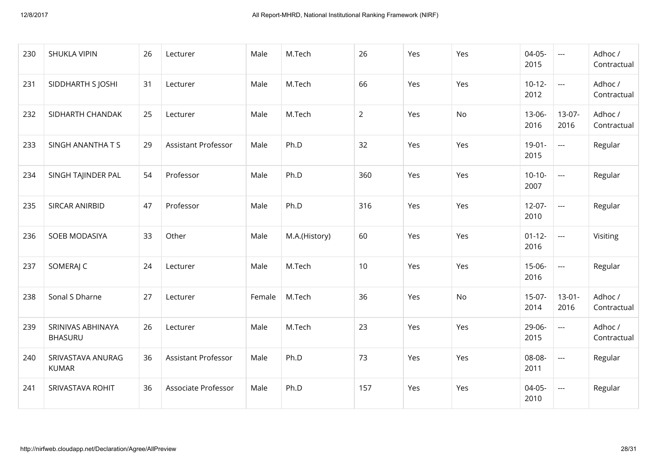| 230 | <b>SHUKLA VIPIN</b>                 | 26 | Lecturer                   | Male   | M.Tech        | 26             | Yes | Yes | $04 - 05 -$<br>2015 | $\sim$ $\sim$       | Adhoc /<br>Contractual |
|-----|-------------------------------------|----|----------------------------|--------|---------------|----------------|-----|-----|---------------------|---------------------|------------------------|
| 231 | SIDDHARTH S JOSHI                   | 31 | Lecturer                   | Male   | M.Tech        | 66             | Yes | Yes | $10-12-$<br>2012    | $\frac{1}{2}$       | Adhoc /<br>Contractual |
| 232 | SIDHARTH CHANDAK                    | 25 | Lecturer                   | Male   | M.Tech        | $\overline{2}$ | Yes | No  | $13 - 06 -$<br>2016 | $13-07-$<br>2016    | Adhoc /<br>Contractual |
| 233 | SINGH ANANTHATS                     | 29 | <b>Assistant Professor</b> | Male   | Ph.D          | 32             | Yes | Yes | $19 - 01 -$<br>2015 | $\pm$ $\pm$ $\pm$   | Regular                |
| 234 | SINGH TAJINDER PAL                  | 54 | Professor                  | Male   | Ph.D          | 360            | Yes | Yes | $10-10-$<br>2007    | $\sim$              | Regular                |
| 235 | SIRCAR ANIRBID                      | 47 | Professor                  | Male   | Ph.D          | 316            | Yes | Yes | $12 - 07 -$<br>2010 | $\pm$ $\pm$ $\pm$   | Regular                |
| 236 | SOEB MODASIYA                       | 33 | Other                      | Male   | M.A.(History) | 60             | Yes | Yes | $01 - 12 -$<br>2016 | $\pm$ $\pm$ $\pm$   | Visiting               |
| 237 | SOMERAJ C                           | 24 | Lecturer                   | Male   | M.Tech        | 10             | Yes | Yes | $15-06-$<br>2016    | $\pm$ $\pm$ $\pm$   | Regular                |
| 238 | Sonal S Dharne                      | 27 | Lecturer                   | Female | M.Tech        | 36             | Yes | No  | $15-07-$<br>2014    | $13 - 01 -$<br>2016 | Adhoc /<br>Contractual |
| 239 | SRINIVAS ABHINAYA<br><b>BHASURU</b> | 26 | Lecturer                   | Male   | M.Tech        | 23             | Yes | Yes | 29-06-<br>2015      | $\pm$ $\pm$ $\pm$   | Adhoc /<br>Contractual |
| 240 | SRIVASTAVA ANURAG<br><b>KUMAR</b>   | 36 | <b>Assistant Professor</b> | Male   | Ph.D          | 73             | Yes | Yes | 08-08-<br>2011      | $\sim$              | Regular                |
| 241 | SRIVASTAVA ROHIT                    | 36 | Associate Professor        | Male   | Ph.D          | 157            | Yes | Yes | $04 - 05 -$<br>2010 | $\pm$ $\pm$ $\pm$   | Regular                |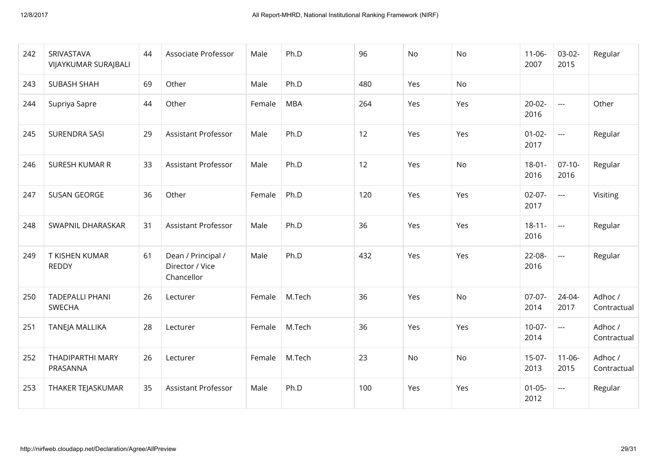| 242 | SRIVASTAVA<br>VIJAYKUMAR SURAJBALI      | 44 | Associate Professor                                 | Male   | Ph.D       | 96  | No  | No  | $11 - 06 -$<br>2007 | $03-02-$<br>2015         | Regular                |
|-----|-----------------------------------------|----|-----------------------------------------------------|--------|------------|-----|-----|-----|---------------------|--------------------------|------------------------|
| 243 | <b>SUBASH SHAH</b>                      | 69 | Other                                               | Male   | Ph.D       | 480 | Yes | No  |                     |                          |                        |
| 244 | Supriya Sapre                           | 44 | Other                                               | Female | <b>MBA</b> | 264 | Yes | Yes | $20 - 02 -$<br>2016 | $\overline{\phantom{a}}$ | Other                  |
| 245 | <b>SURENDRA SASI</b>                    | 29 | <b>Assistant Professor</b>                          | Male   | Ph.D       | 12  | Yes | Yes | $01 - 02 -$<br>2017 | $\sim$ $\sim$            | Regular                |
| 246 | SURESH KUMAR R                          | 33 | <b>Assistant Professor</b>                          | Male   | Ph.D       | 12  | Yes | No  | $18 - 01 -$<br>2016 | $07-10-$<br>2016         | Regular                |
| 247 | <b>SUSAN GEORGE</b>                     | 36 | Other                                               | Female | Ph.D       | 120 | Yes | Yes | $02 - 07 -$<br>2017 | $\overline{a}$           | Visiting               |
| 248 | SWAPNIL DHARASKAR                       | 31 | <b>Assistant Professor</b>                          | Male   | Ph.D       | 36  | Yes | Yes | $18 - 11 -$<br>2016 | $\sim$ $\sim$            | Regular                |
| 249 | T KISHEN KUMAR<br><b>REDDY</b>          | 61 | Dean / Principal /<br>Director / Vice<br>Chancellor | Male   | Ph.D       | 432 | Yes | Yes | $22 - 08 -$<br>2016 | $\sim$ $\sim$            | Regular                |
| 250 | <b>TADEPALLI PHANI</b><br><b>SWECHA</b> | 26 | Lecturer                                            | Female | M.Tech     | 36  | Yes | No  | $07-07-$<br>2014    | $24 - 04 -$<br>2017      | Adhoc /<br>Contractual |
| 251 | <b>TANEJA MALLIKA</b>                   | 28 | Lecturer                                            | Female | M.Tech     | 36  | Yes | Yes | $10-07-$<br>2014    | $\overline{a}$           | Adhoc /<br>Contractual |
| 252 | <b>THADIPARTHI MARY</b><br>PRASANNA     | 26 | Lecturer                                            | Female | M.Tech     | 23  | No  | No  | $15-07-$<br>2013    | $11-06-$<br>2015         | Adhoc /<br>Contractual |
| 253 | THAKER TEJASKUMAR                       | 35 | <b>Assistant Professor</b>                          | Male   | Ph.D       | 100 | Yes | Yes | $01 - 05 -$<br>2012 | $\sim$ $\sim$            | Regular                |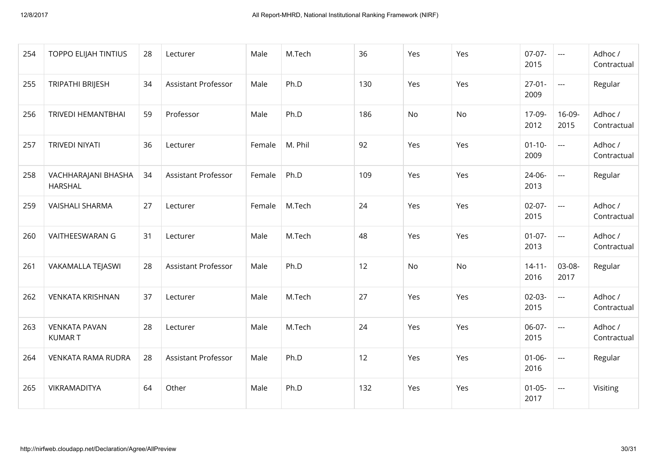| 254 | <b>TOPPO ELIJAH TINTIUS</b>           | 28 | Lecturer                   | Male   | M.Tech  | 36  | Yes       | Yes | $07-07-$<br>2015    | $\sim$ $\sim$        | Adhoc /<br>Contractual |
|-----|---------------------------------------|----|----------------------------|--------|---------|-----|-----------|-----|---------------------|----------------------|------------------------|
| 255 | TRIPATHI BRIJESH                      | 34 | <b>Assistant Professor</b> | Male   | Ph.D    | 130 | Yes       | Yes | $27-01-$<br>2009    | $\sim$ $\sim$ $\sim$ | Regular                |
| 256 | <b>TRIVEDI HEMANTBHAI</b>             | 59 | Professor                  | Male   | Ph.D    | 186 | <b>No</b> | No  | 17-09-<br>2012      | $16 - 09 -$<br>2015  | Adhoc /<br>Contractual |
| 257 | <b>TRIVEDI NIYATI</b>                 | 36 | Lecturer                   | Female | M. Phil | 92  | Yes       | Yes | $01 - 10 -$<br>2009 | $\sim$ $\sim$        | Adhoc /<br>Contractual |
| 258 | VACHHARAJANI BHASHA<br><b>HARSHAL</b> | 34 | <b>Assistant Professor</b> | Female | Ph.D    | 109 | Yes       | Yes | $24 - 06 -$<br>2013 | $\overline{a}$       | Regular                |
| 259 | <b>VAISHALI SHARMA</b>                | 27 | Lecturer                   | Female | M.Tech  | 24  | Yes       | Yes | $02-07-$<br>2015    | $\sim$ $\sim$ $\sim$ | Adhoc /<br>Contractual |
| 260 | VAITHEESWARAN G                       | 31 | Lecturer                   | Male   | M.Tech  | 48  | Yes       | Yes | $01 - 07 -$<br>2013 | $\sim$ $\sim$        | Adhoc /<br>Contractual |
| 261 | VAKAMALLA TEJASWI                     | 28 | <b>Assistant Professor</b> | Male   | Ph.D    | 12  | No        | No  | $14 - 11 -$<br>2016 | 03-08-<br>2017       | Regular                |
| 262 | <b>VENKATA KRISHNAN</b>               | 37 | Lecturer                   | Male   | M.Tech  | 27  | Yes       | Yes | $02 - 03 -$<br>2015 | $\frac{1}{2}$        | Adhoc /<br>Contractual |
| 263 | <b>VENKATA PAVAN</b><br><b>KUMART</b> | 28 | Lecturer                   | Male   | M.Tech  | 24  | Yes       | Yes | $06-07-$<br>2015    | $\sim$ $\sim$ $\sim$ | Adhoc /<br>Contractual |
| 264 | <b>VENKATA RAMA RUDRA</b>             | 28 | <b>Assistant Professor</b> | Male   | Ph.D    | 12  | Yes       | Yes | $01 - 06 -$<br>2016 | $\sim$ $\sim$        | Regular                |
| 265 | <b>VIKRAMADITYA</b>                   | 64 | Other                      | Male   | Ph.D    | 132 | Yes       | Yes | $01 - 05 -$<br>2017 | $\sim$ $\sim$ $\sim$ | Visiting               |